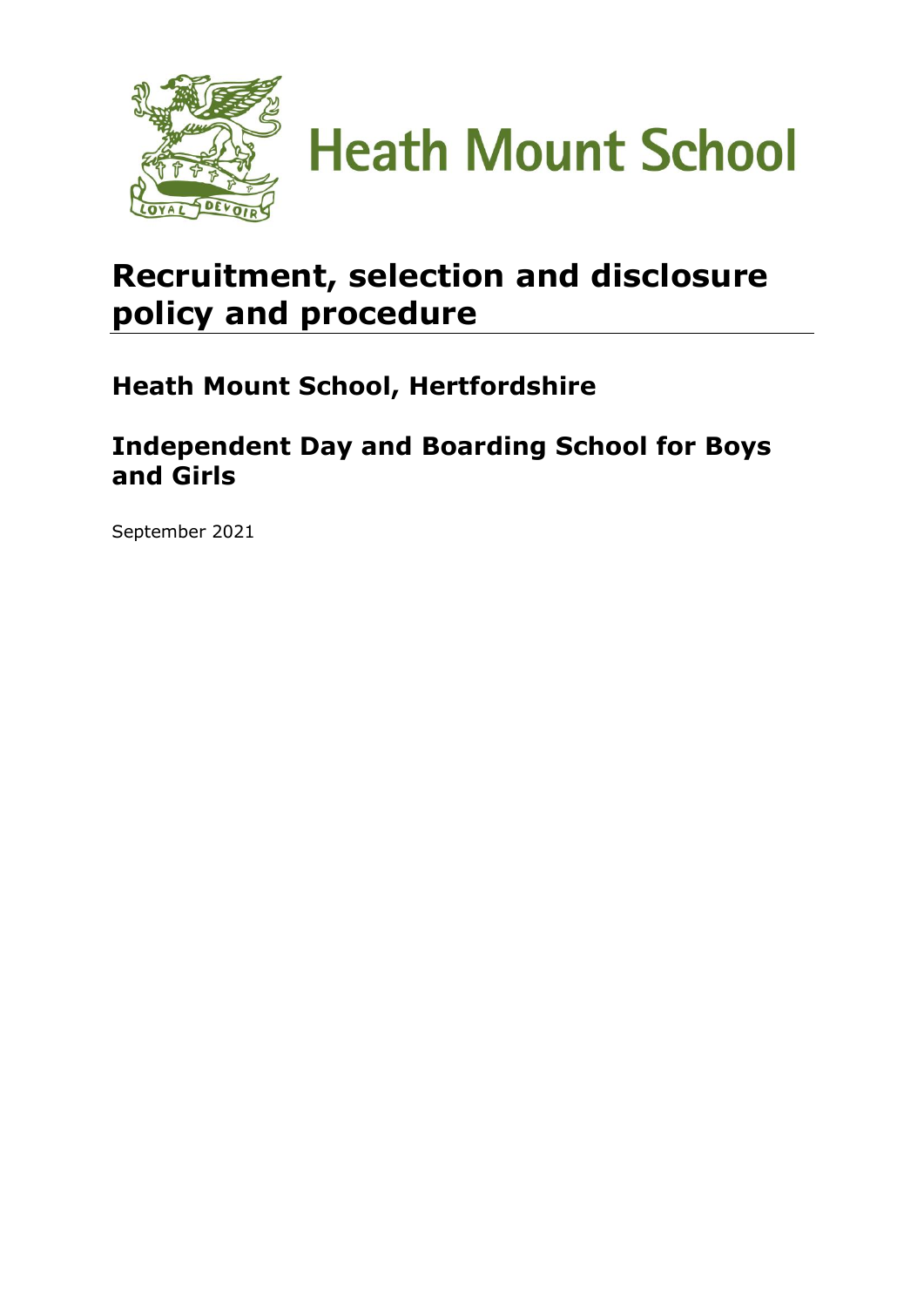

**Heath Mount School** 

# **Recruitment, selection and disclosure policy and procedure**

# **Heath Mount School, Hertfordshire**

# **Independent Day and Boarding School for Boys and Girls**

September 2021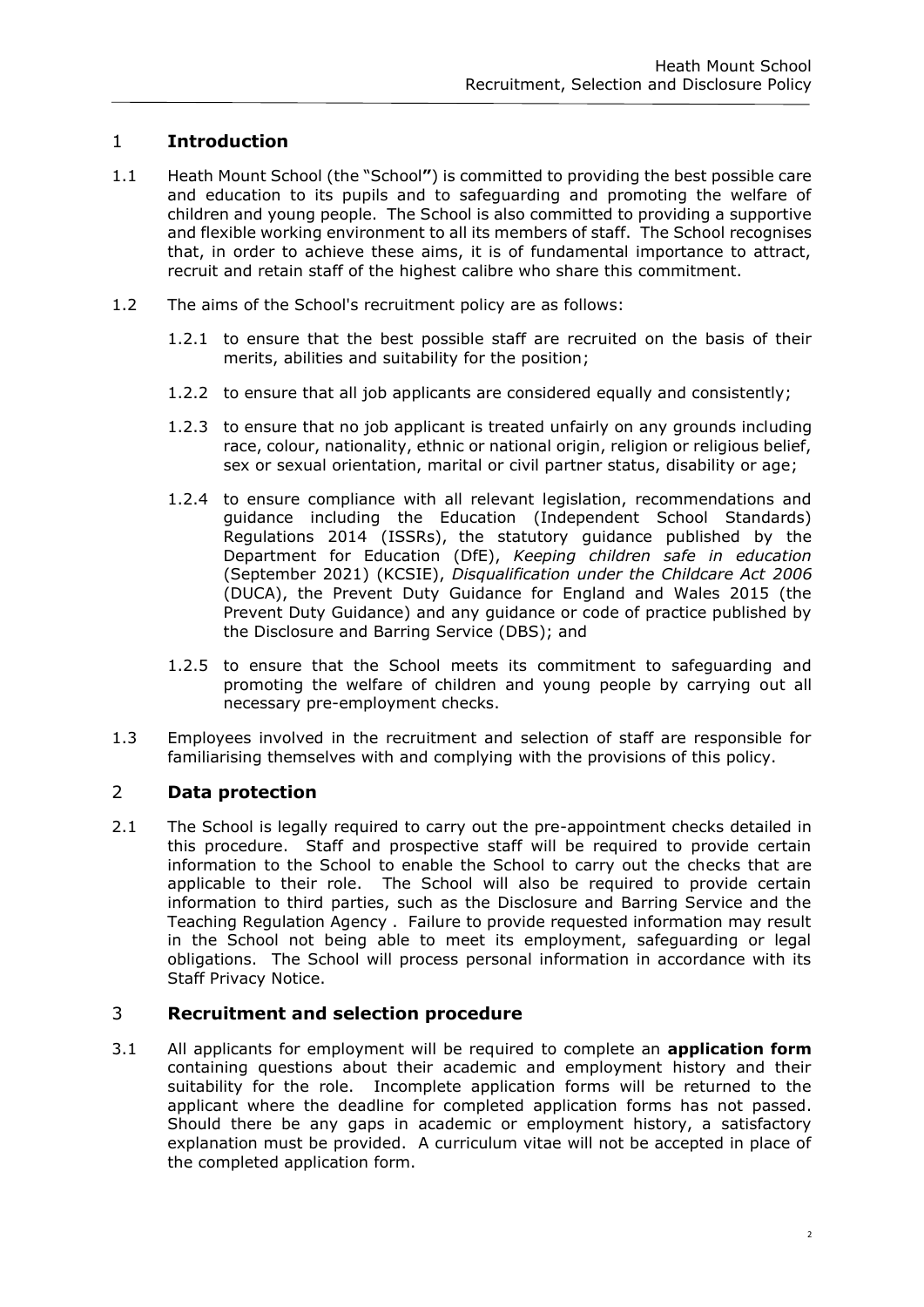# 1 **Introduction**

- 1.1 Heath Mount School (the "School**"**) is committed to providing the best possible care and education to its pupils and to safeguarding and promoting the welfare of children and young people. The School is also committed to providing a supportive and flexible working environment to all its members of staff. The School recognises that, in order to achieve these aims, it is of fundamental importance to attract, recruit and retain staff of the highest calibre who share this commitment.
- 1.2 The aims of the School's recruitment policy are as follows:
	- 1.2.1 to ensure that the best possible staff are recruited on the basis of their merits, abilities and suitability for the position;
	- 1.2.2 to ensure that all job applicants are considered equally and consistently;
	- 1.2.3 to ensure that no job applicant is treated unfairly on any grounds including race, colour, nationality, ethnic or national origin, religion or religious belief, sex or sexual orientation, marital or civil partner status, disability or age;
	- 1.2.4 to ensure compliance with all relevant legislation, recommendations and guidance including the Education (Independent School Standards) Regulations 2014 (ISSRs), the statutory guidance published by the Department for Education (DfE), *Keeping children safe in education* (September 2021) (KCSIE), *Disqualification under the Childcare Act 2006* (DUCA), the Prevent Duty Guidance for England and Wales 2015 (the Prevent Duty Guidance) and any guidance or code of practice published by the Disclosure and Barring Service (DBS); and
	- 1.2.5 to ensure that the School meets its commitment to safeguarding and promoting the welfare of children and young people by carrying out all necessary pre-employment checks.
- 1.3 Employees involved in the recruitment and selection of staff are responsible for familiarising themselves with and complying with the provisions of this policy.

# 2 **Data protection**

2.1 The School is legally required to carry out the pre-appointment checks detailed in this procedure. Staff and prospective staff will be required to provide certain information to the School to enable the School to carry out the checks that are applicable to their role. The School will also be required to provide certain information to third parties, such as the Disclosure and Barring Service and the Teaching Regulation Agency . Failure to provide requested information may result in the School not being able to meet its employment, safeguarding or legal obligations. The School will process personal information in accordance with its Staff Privacy Notice.

# 3 **Recruitment and selection procedure**

3.1 All applicants for employment will be required to complete an **application form** containing questions about their academic and employment history and their suitability for the role. Incomplete application forms will be returned to the applicant where the deadline for completed application forms has not passed. Should there be any gaps in academic or employment history, a satisfactory explanation must be provided. A curriculum vitae will not be accepted in place of the completed application form.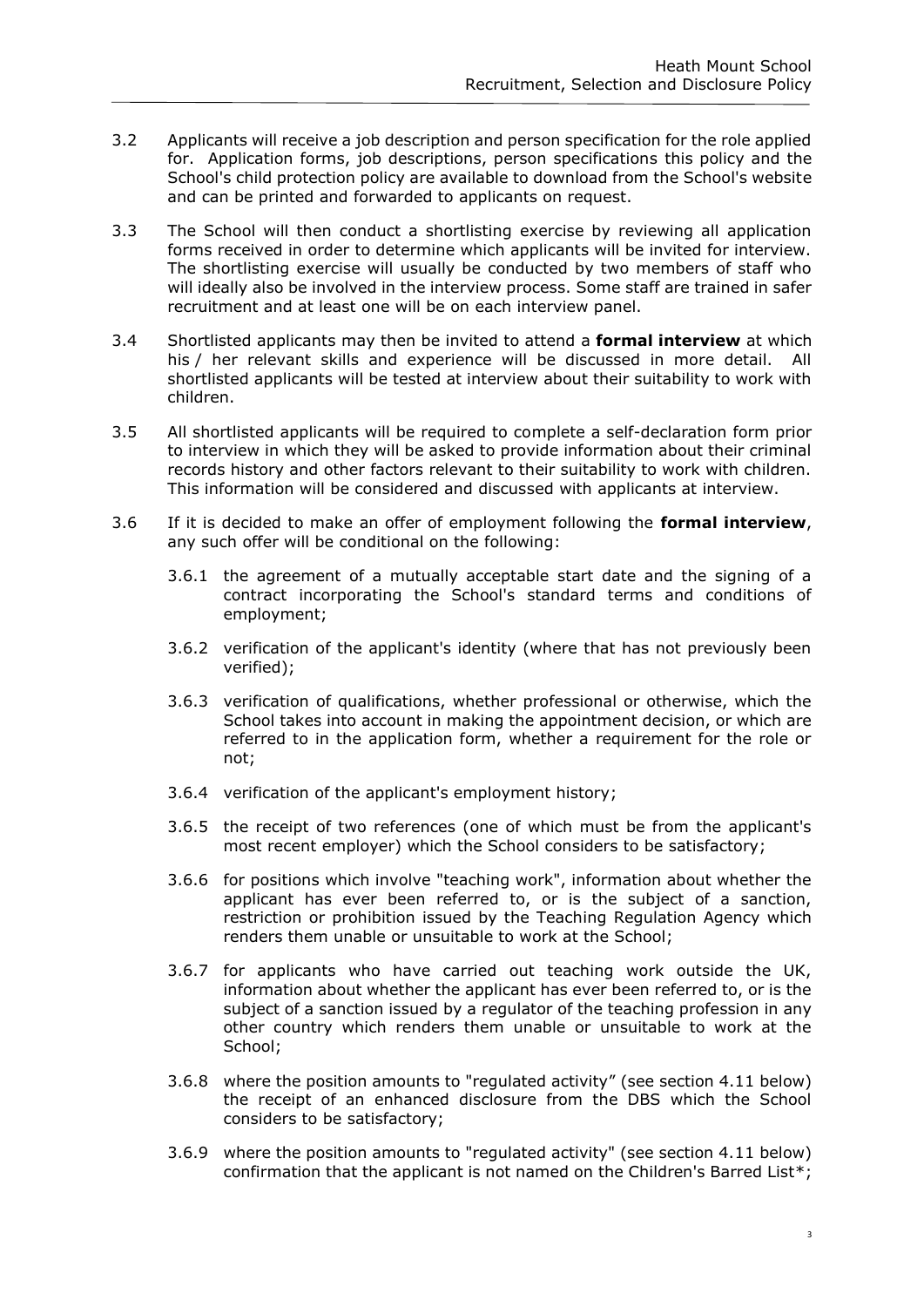- 3.2 Applicants will receive a job description and person specification for the role applied for. Application forms, job descriptions, person specifications this policy and the School's child protection policy are available to download from the School's website and can be printed and forwarded to applicants on request.
- 3.3 The School will then conduct a shortlisting exercise by reviewing all application forms received in order to determine which applicants will be invited for interview. The shortlisting exercise will usually be conducted by two members of staff who will ideally also be involved in the interview process. Some staff are trained in safer recruitment and at least one will be on each interview panel.
- 3.4 Shortlisted applicants may then be invited to attend a **formal interview** at which his / her relevant skills and experience will be discussed in more detail. All shortlisted applicants will be tested at interview about their suitability to work with children.
- 3.5 All shortlisted applicants will be required to complete a self-declaration form prior to interview in which they will be asked to provide information about their criminal records history and other factors relevant to their suitability to work with children. This information will be considered and discussed with applicants at interview.
- 3.6 If it is decided to make an offer of employment following the **formal interview**, any such offer will be conditional on the following:
	- 3.6.1 the agreement of a mutually acceptable start date and the signing of a contract incorporating the School's standard terms and conditions of employment;
	- 3.6.2 verification of the applicant's identity (where that has not previously been verified);
	- 3.6.3 verification of qualifications, whether professional or otherwise, which the School takes into account in making the appointment decision, or which are referred to in the application form, whether a requirement for the role or not;
	- 3.6.4 verification of the applicant's employment history;
	- 3.6.5 the receipt of two references (one of which must be from the applicant's most recent employer) which the School considers to be satisfactory;
	- 3.6.6 for positions which involve "teaching work", information about whether the applicant has ever been referred to, or is the subject of a sanction, restriction or prohibition issued by the Teaching Regulation Agency which renders them unable or unsuitable to work at the School;
	- 3.6.7 for applicants who have carried out teaching work outside the UK, information about whether the applicant has ever been referred to, or is the subject of a sanction issued by a regulator of the teaching profession in any other country which renders them unable or unsuitable to work at the School:
	- 3.6.8 where the position amounts to "regulated activity" (see section 4.11 below) the receipt of an enhanced disclosure from the DBS which the School considers to be satisfactory;
	- 3.6.9 where the position amounts to "regulated activity" (see section 4.11 below) confirmation that the applicant is not named on the Children's Barred List\*;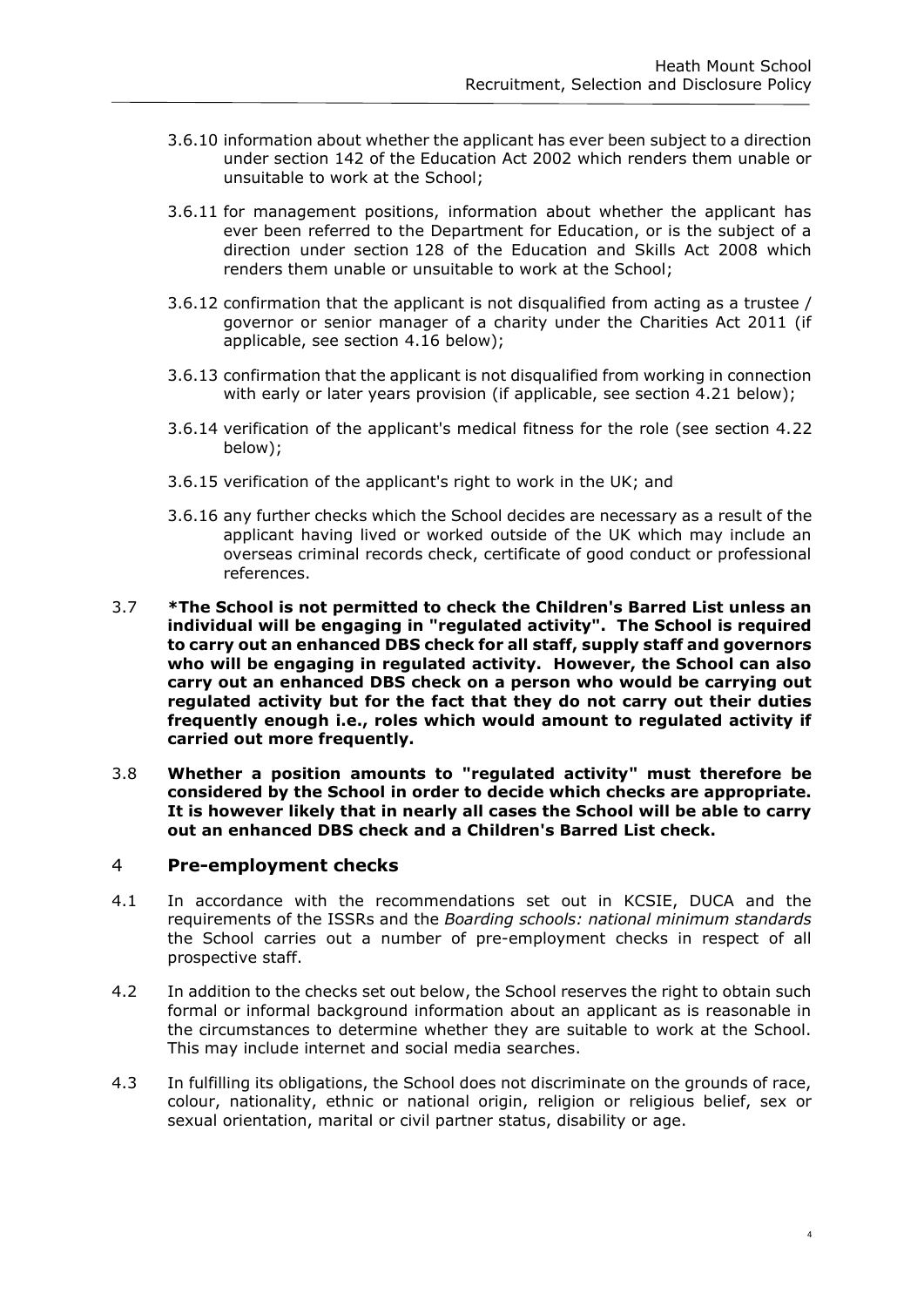- 3.6.10 information about whether the applicant has ever been subject to a direction under section 142 of the Education Act 2002 which renders them unable or unsuitable to work at the School;
- 3.6.11 for management positions, information about whether the applicant has ever been referred to the Department for Education, or is the subject of a direction under section 128 of the Education and Skills Act 2008 which renders them unable or unsuitable to work at the School;
- 3.6.12 confirmation that the applicant is not disqualified from acting as a trustee / governor or senior manager of a charity under the Charities Act 2011 (if applicable, see section 4.16 below);
- 3.6.13 confirmation that the applicant is not disqualified from working in connection with early or later years provision (if applicable, see section 4.21 below);
- 3.6.14 verification of the applicant's medical fitness for the role (see section 4.22 below);
- 3.6.15 verification of the applicant's right to work in the UK; and
- 3.6.16 any further checks which the School decides are necessary as a result of the applicant having lived or worked outside of the UK which may include an overseas criminal records check, certificate of good conduct or professional references.
- 3.7 **\*The School is not permitted to check the Children's Barred List unless an individual will be engaging in "regulated activity". The School is required to carry out an enhanced DBS check for all staff, supply staff and governors who will be engaging in regulated activity. However, the School can also carry out an enhanced DBS check on a person who would be carrying out regulated activity but for the fact that they do not carry out their duties frequently enough i.e., roles which would amount to regulated activity if carried out more frequently.**
- 3.8 **Whether a position amounts to "regulated activity" must therefore be considered by the School in order to decide which checks are appropriate. It is however likely that in nearly all cases the School will be able to carry out an enhanced DBS check and a Children's Barred List check.**

#### 4 **Pre-employment checks**

- 4.1 In accordance with the recommendations set out in KCSIE, DUCA and the requirements of the ISSRs and the *Boarding schools: national minimum standards* the School carries out a number of pre-employment checks in respect of all prospective staff.
- 4.2 In addition to the checks set out below, the School reserves the right to obtain such formal or informal background information about an applicant as is reasonable in the circumstances to determine whether they are suitable to work at the School. This may include internet and social media searches.
- 4.3 In fulfilling its obligations, the School does not discriminate on the grounds of race, colour, nationality, ethnic or national origin, religion or religious belief, sex or sexual orientation, marital or civil partner status, disability or age.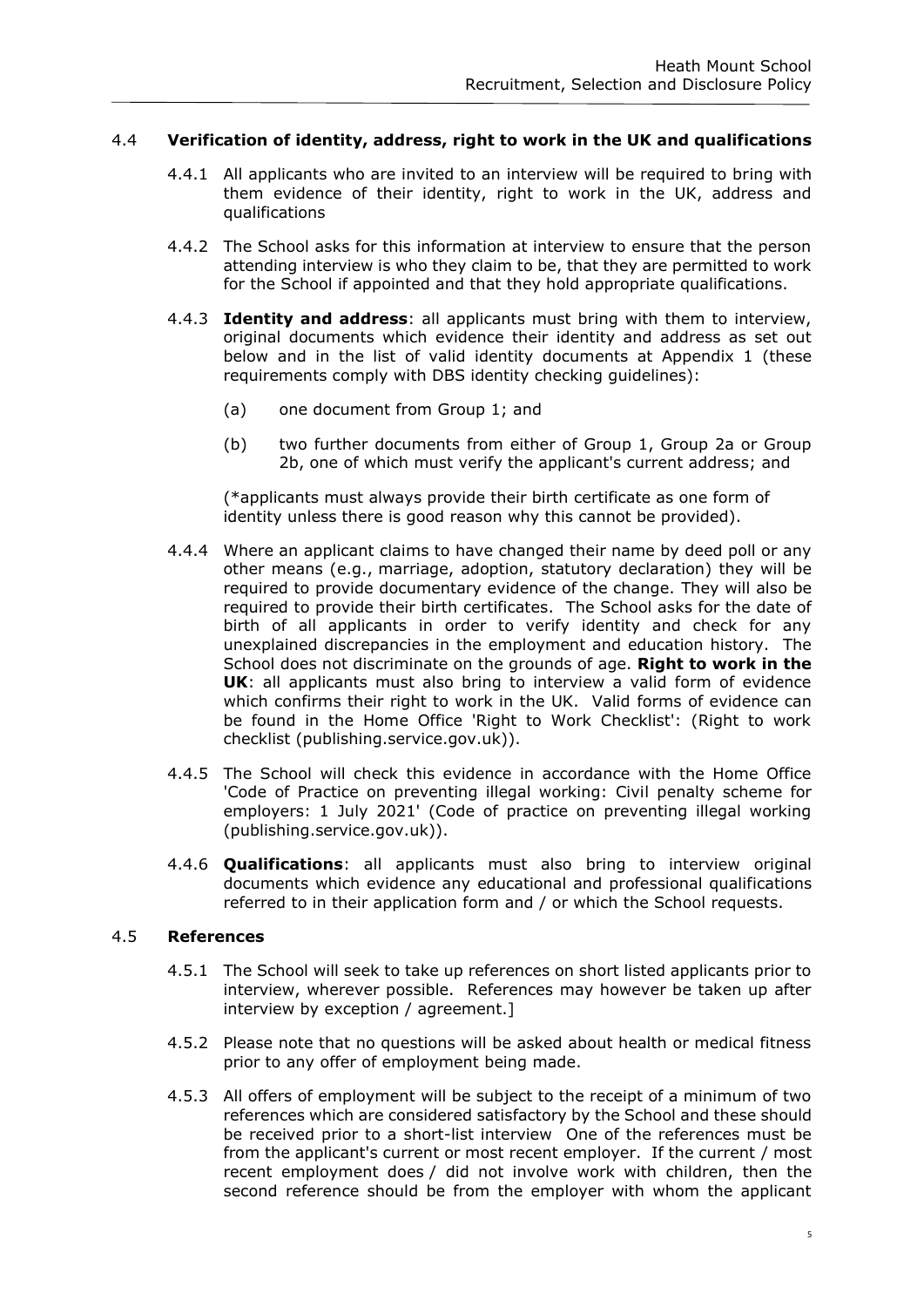# 4.4 **Verification of identity, address, right to work in the UK and qualifications**

- 4.4.1 All applicants who are invited to an interview will be required to bring with them evidence of their identity, right to work in the UK, address and qualifications
- 4.4.2 The School asks for this information at interview to ensure that the person attending interview is who they claim to be, that they are permitted to work for the School if appointed and that they hold appropriate qualifications.
- 4.4.3 **Identity and address**: all applicants must bring with them to interview, original documents which evidence their identity and address as set out below and in the list of valid identity documents at [Appendix 1](#page-19-0) (these requirements comply with DBS identity checking guidelines):
	- (a) one document from Group 1; and
	- (b) two further documents from either of Group 1, Group 2a or Group 2b, one of which must verify the applicant's current address; and

(\*applicants must always provide their birth certificate as one form of identity unless there is good reason why this cannot be provided).

- 4.4.4 Where an applicant claims to have changed their name by deed poll or any other means (e.g., marriage, adoption, statutory declaration) they will be required to provide documentary evidence of the change. They will also be required to provide their birth certificates. The School asks for the date of birth of all applicants in order to verify identity and check for any unexplained discrepancies in the employment and education history. The School does not discriminate on the grounds of age. **Right to work in the UK**: all applicants must also bring to interview a valid form of evidence which confirms their right to work in the UK. Valid forms of evidence can be found in the Home Office 'Right to Work Checklist': (Right to work checklist (publishing.service.gov.uk)).
- 4.4.5 The School will check this evidence in accordance with the Home Office 'Code of Practice on preventing illegal working: Civil penalty scheme for employers: 1 July 2021' (Code of practice on preventing illegal working (publishing.service.gov.uk)).
- 4.4.6 **Qualifications**: all applicants must also bring to interview original documents which evidence any educational and professional qualifications referred to in their application form and / or which the School requests.

#### 4.5 **References**

- 4.5.1 The School will seek to take up references on short listed applicants prior to interview, wherever possible. References may however be taken up after interview by exception / agreement.]
- 4.5.2 Please note that no questions will be asked about health or medical fitness prior to any offer of employment being made.
- 4.5.3 All offers of employment will be subject to the receipt of a minimum of two references which are considered satisfactory by the School and these should be received prior to a short-list interview One of the references must be from the applicant's current or most recent employer. If the current / most recent employment does / did not involve work with children, then the second reference should be from the employer with whom the applicant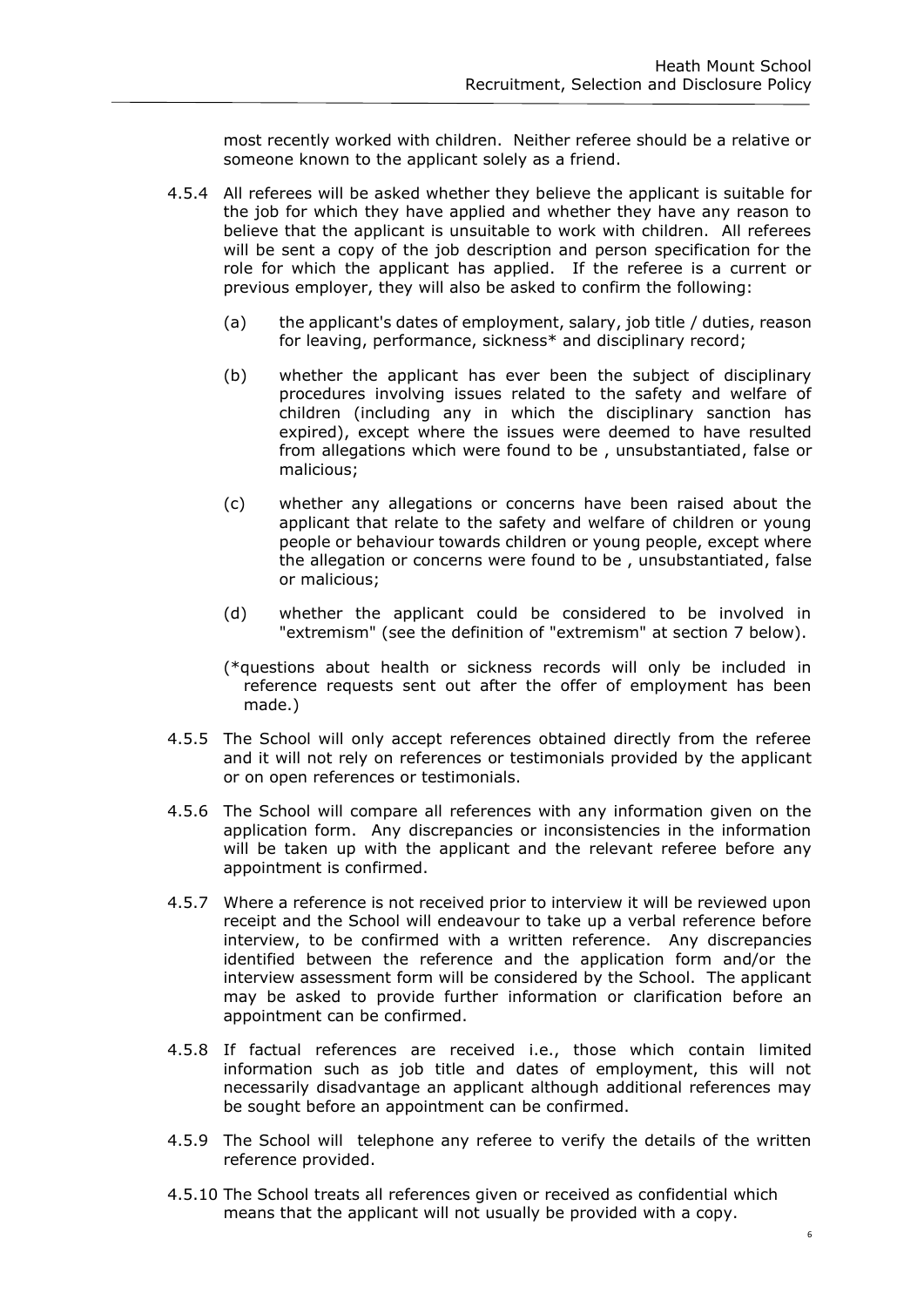most recently worked with children. Neither referee should be a relative or someone known to the applicant solely as a friend.

- 4.5.4 All referees will be asked whether they believe the applicant is suitable for the job for which they have applied and whether they have any reason to believe that the applicant is unsuitable to work with children. All referees will be sent a copy of the job description and person specification for the role for which the applicant has applied. If the referee is a current or previous employer, they will also be asked to confirm the following:
	- (a) the applicant's dates of employment, salary, job title / duties, reason for leaving, performance, sickness\* and disciplinary record;
	- (b) whether the applicant has ever been the subject of disciplinary procedures involving issues related to the safety and welfare of children (including any in which the disciplinary sanction has expired), except where the issues were deemed to have resulted from allegations which were found to be , unsubstantiated, false or malicious;
	- (c) whether any allegations or concerns have been raised about the applicant that relate to the safety and welfare of children or young people or behaviour towards children or young people, except where the allegation or concerns were found to be , unsubstantiated, false or malicious;
	- (d) whether the applicant could be considered to be involved in "extremism" (see the definition of "extremism" at section 7 below).
	- (\*questions about health or sickness records will only be included in reference requests sent out after the offer of employment has been made.)
- 4.5.5 The School will only accept references obtained directly from the referee and it will not rely on references or testimonials provided by the applicant or on open references or testimonials.
- 4.5.6 The School will compare all references with any information given on the application form. Any discrepancies or inconsistencies in the information will be taken up with the applicant and the relevant referee before any appointment is confirmed.
- 4.5.7 Where a reference is not received prior to interview it will be reviewed upon receipt and the School will endeavour to take up a verbal reference before interview, to be confirmed with a written reference. Any discrepancies identified between the reference and the application form and/or the interview assessment form will be considered by the School. The applicant may be asked to provide further information or clarification before an appointment can be confirmed.
- 4.5.8 If factual references are received i.e., those which contain limited information such as job title and dates of employment, this will not necessarily disadvantage an applicant although additional references may be sought before an appointment can be confirmed.
- 4.5.9 The School will telephone any referee to verify the details of the written reference provided.
- 4.5.10 The School treats all references given or received as confidential which means that the applicant will not usually be provided with a copy.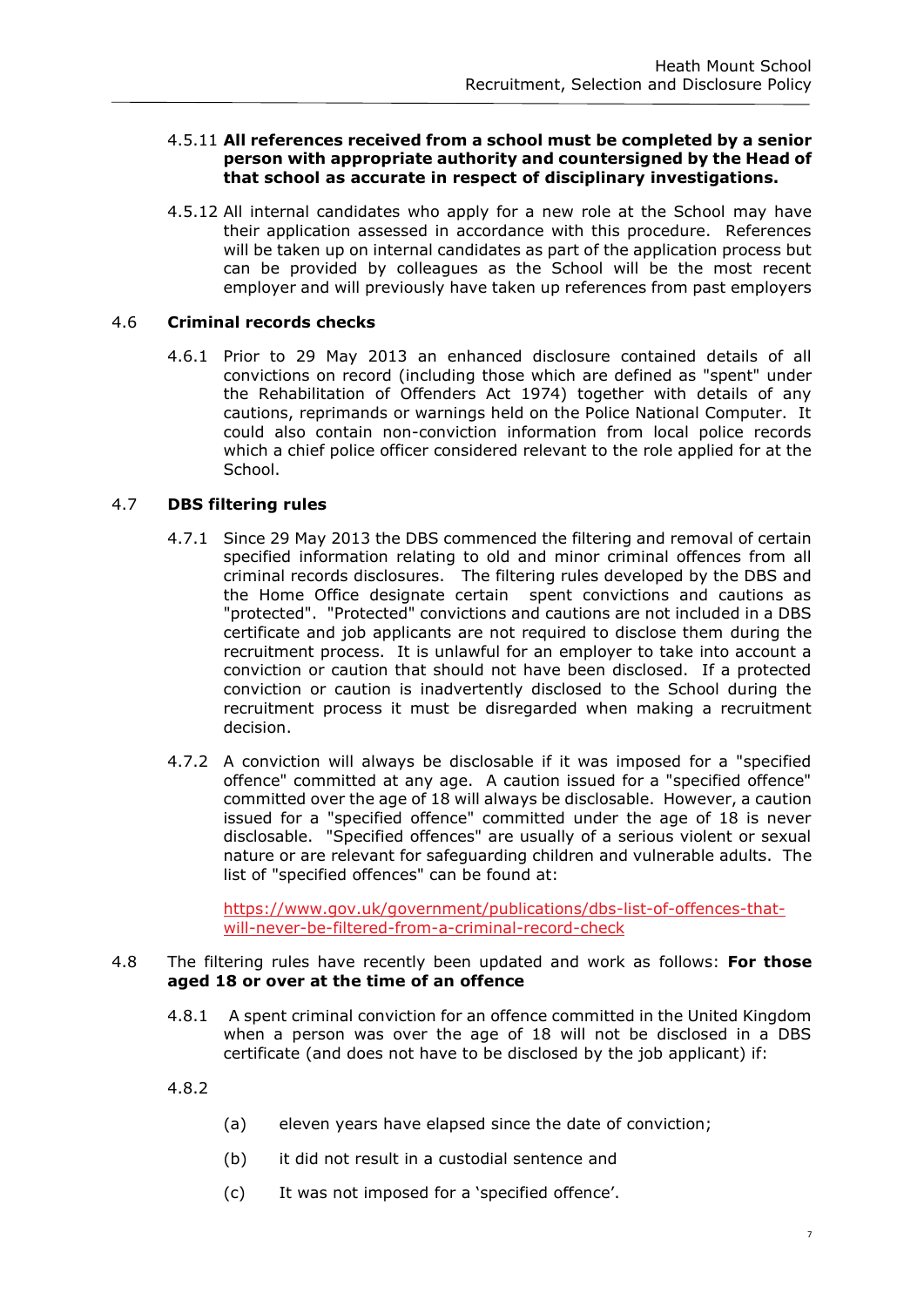#### 4.5.11 **All references received from a school must be completed by a senior person with appropriate authority and countersigned by the Head of that school as accurate in respect of disciplinary investigations.**

4.5.12 All internal candidates who apply for a new role at the School may have their application assessed in accordance with this procedure. References will be taken up on internal candidates as part of the application process but can be provided by colleagues as the School will be the most recent employer and will previously have taken up references from past employers

#### 4.6 **Criminal records checks**

4.6.1 Prior to 29 May 2013 an enhanced disclosure contained details of all convictions on record (including those which are defined as "spent" under the Rehabilitation of Offenders Act 1974) together with details of any cautions, reprimands or warnings held on the Police National Computer. It could also contain non-conviction information from local police records which a chief police officer considered relevant to the role applied for at the School.

# 4.7 **DBS filtering rules**

- 4.7.1 Since 29 May 2013 the DBS commenced the filtering and removal of certain specified information relating to old and minor criminal offences from all criminal records disclosures. The filtering rules developed by the DBS and the Home Office designate certain spent convictions and cautions as "protected". "Protected" convictions and cautions are not included in a DBS certificate and job applicants are not required to disclose them during the recruitment process. It is unlawful for an employer to take into account a conviction or caution that should not have been disclosed. If a protected conviction or caution is inadvertently disclosed to the School during the recruitment process it must be disregarded when making a recruitment decision.
- 4.7.2 A conviction will always be disclosable if it was imposed for a "specified offence" committed at any age. A caution issued for a "specified offence" committed over the age of 18 will always be disclosable. However, a caution issued for a "specified offence" committed under the age of 18 is never disclosable. "Specified offences" are usually of a serious violent or sexual nature or are relevant for safeguarding children and vulnerable adults. The list of "specified offences" can be found at:

[https://www.gov.uk/government/publications/dbs-list-of-offences-that](https://www.gov.uk/government/publications/dbs-list-of-offences-that-will-never-be-filtered-from-a-criminal-record-check)[will-never-be-filtered-from-a-criminal-record-check](https://www.gov.uk/government/publications/dbs-list-of-offences-that-will-never-be-filtered-from-a-criminal-record-check)

#### 4.8 The filtering rules have recently been updated and work as follows: **For those aged 18 or over at the time of an offence**

- 4.8.1 A spent criminal conviction for an offence committed in the United Kingdom when a person was over the age of 18 will not be disclosed in a DBS certificate (and does not have to be disclosed by the job applicant) if:
- 4.8.2
- (a) eleven years have elapsed since the date of conviction;
- (b) it did not result in a custodial sentence and
- (c) It was not imposed for a 'specified offence'.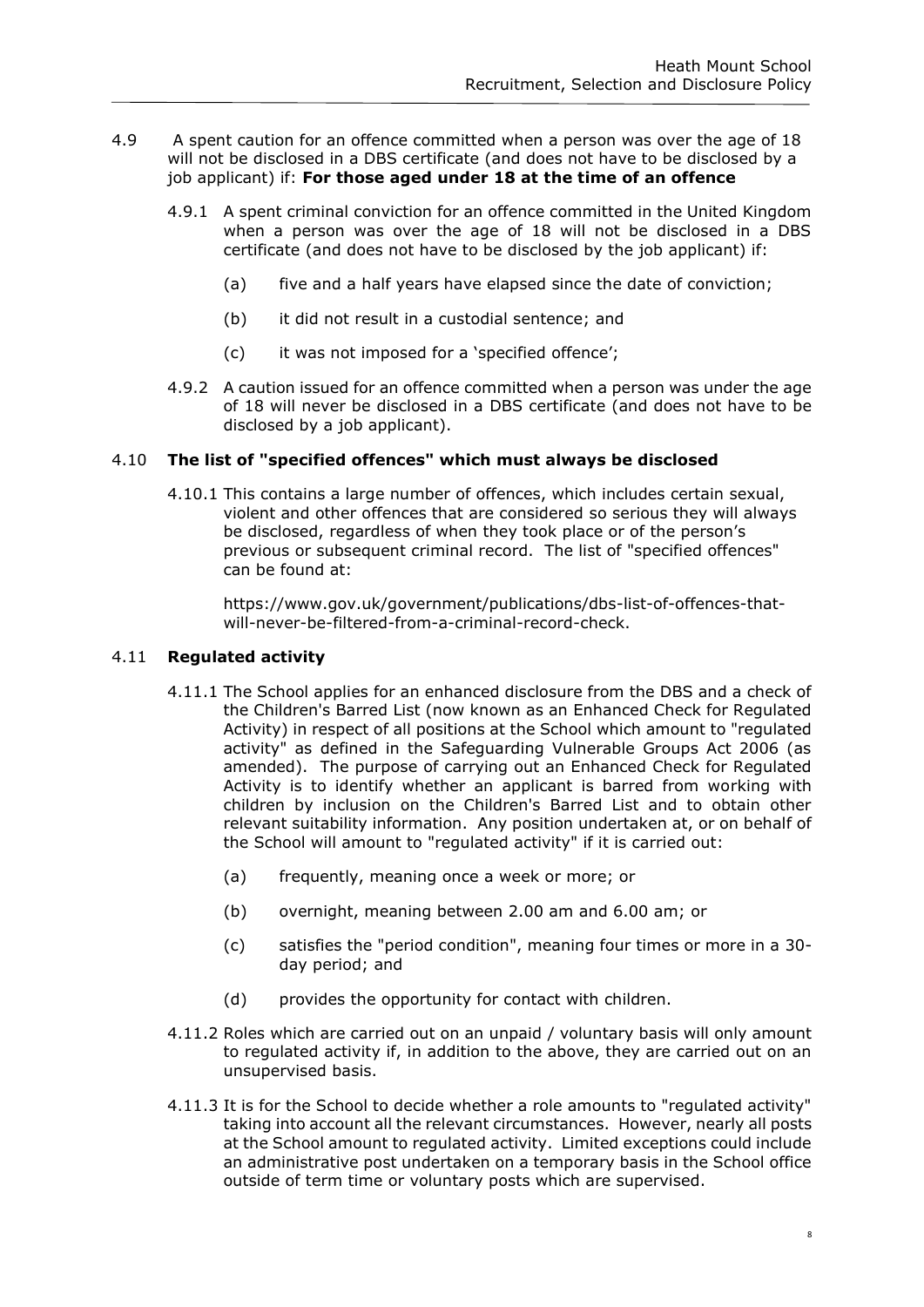- 4.9 A spent caution for an offence committed when a person was over the age of 18 will not be disclosed in a DBS certificate (and does not have to be disclosed by a job applicant) if: **For those aged under 18 at the time of an offence**
	- 4.9.1 A spent criminal conviction for an offence committed in the United Kingdom when a person was over the age of 18 will not be disclosed in a DBS certificate (and does not have to be disclosed by the job applicant) if:
		- (a) five and a half years have elapsed since the date of conviction;
		- (b) it did not result in a custodial sentence; and
		- (c) it was not imposed for a 'specified offence';
	- 4.9.2 A caution issued for an offence committed when a person was under the age of 18 will never be disclosed in a DBS certificate (and does not have to be disclosed by a job applicant).

#### 4.10 **The list of "specified offences" which must always be disclosed**

4.10.1 This contains a large number of offences, which includes certain sexual, violent and other offences that are considered so serious they will always be disclosed, regardless of when they took place or of the person's previous or subsequent criminal record. The list of "specified offences" can be found at:

https://www.gov.uk/government/publications/dbs-list-of-offences-thatwill-never-be-filtered-from-a-criminal-record-check.

#### 4.11 **Regulated activity**

- 4.11.1 The School applies for an enhanced disclosure from the DBS and a check of the Children's Barred List (now known as an Enhanced Check for Regulated Activity) in respect of all positions at the School which amount to "regulated activity" as defined in the Safeguarding Vulnerable Groups Act 2006 (as amended). The purpose of carrying out an Enhanced Check for Regulated Activity is to identify whether an applicant is barred from working with children by inclusion on the Children's Barred List and to obtain other relevant suitability information. Any position undertaken at, or on behalf of the School will amount to "regulated activity" if it is carried out:
	- (a) frequently, meaning once a week or more; or
	- (b) overnight, meaning between 2.00 am and 6.00 am; or
	- (c) satisfies the "period condition", meaning four times or more in a 30 day period; and
	- (d) provides the opportunity for contact with children.
- 4.11.2 Roles which are carried out on an unpaid / voluntary basis will only amount to regulated activity if, in addition to the above, they are carried out on an unsupervised basis.
- 4.11.3 It is for the School to decide whether a role amounts to "regulated activity" taking into account all the relevant circumstances. However, nearly all posts at the School amount to regulated activity. Limited exceptions could include an administrative post undertaken on a temporary basis in the School office outside of term time or voluntary posts which are supervised.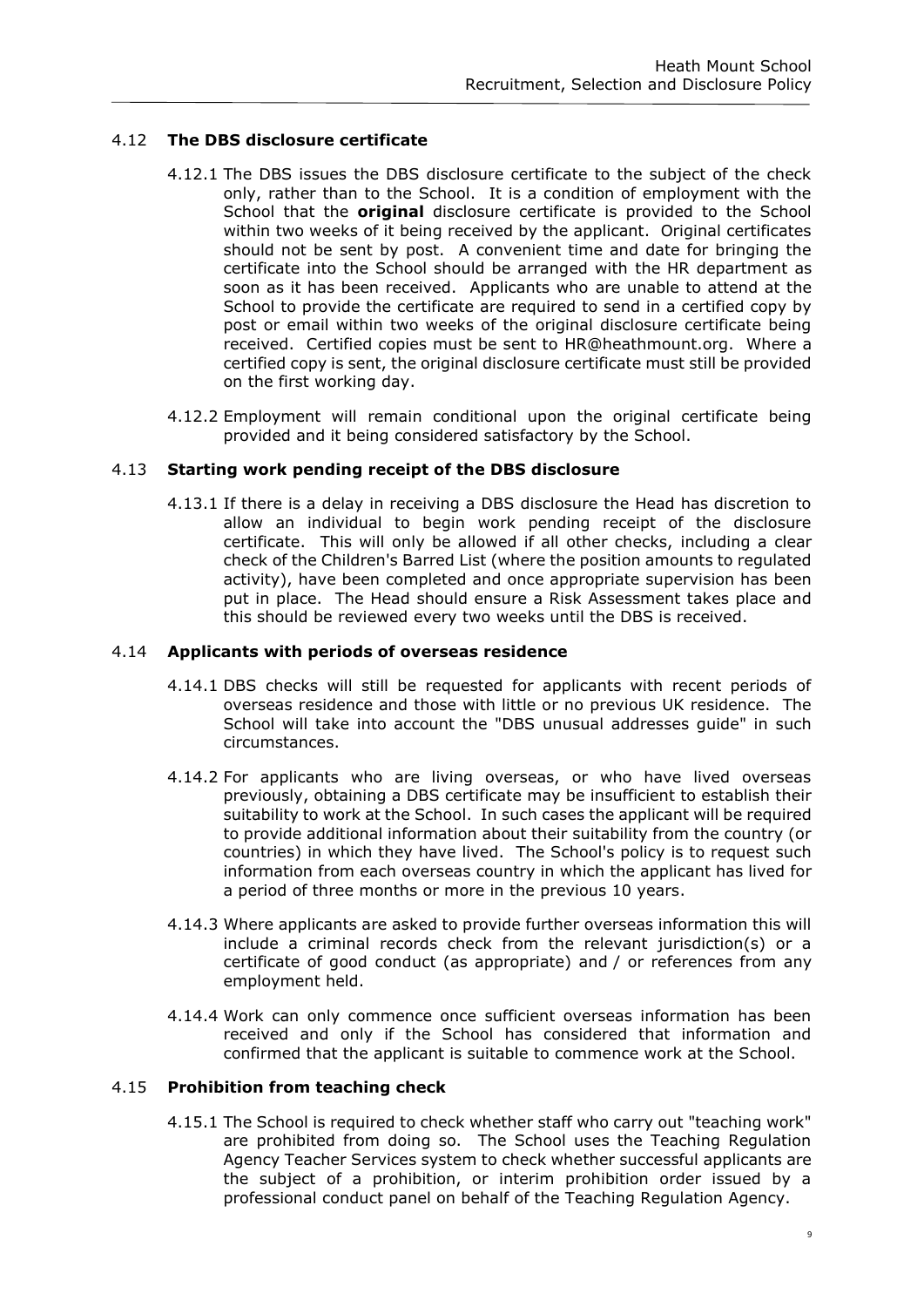# 4.12 **The DBS disclosure certificate**

- 4.12.1 The DBS issues the DBS disclosure certificate to the subject of the check only, rather than to the School. It is a condition of employment with the School that the **original** disclosure certificate is provided to the School within two weeks of it being received by the applicant. Original certificates should not be sent by post. A convenient time and date for bringing the certificate into the School should be arranged with the HR department as soon as it has been received. Applicants who are unable to attend at the School to provide the certificate are required to send in a certified copy by post or email within two weeks of the original disclosure certificate being received. Certified copies must be sent to HR@heathmount.org. Where a certified copy is sent, the original disclosure certificate must still be provided on the first working day.
- 4.12.2 Employment will remain conditional upon the original certificate being provided and it being considered satisfactory by the School.

# 4.13 **Starting work pending receipt of the DBS disclosure**

4.13.1 If there is a delay in receiving a DBS disclosure the Head has discretion to allow an individual to begin work pending receipt of the disclosure certificate. This will only be allowed if all other checks, including a clear check of the Children's Barred List (where the position amounts to regulated activity), have been completed and once appropriate supervision has been put in place. The Head should ensure a Risk Assessment takes place and this should be reviewed every two weeks until the DBS is received.

# 4.14 **Applicants with periods of overseas residence**

- 4.14.1 DBS checks will still be requested for applicants with recent periods of overseas residence and those with little or no previous UK residence. The School will take into account the "DBS unusual addresses guide" in such circumstances.
- 4.14.2 For applicants who are living overseas, or who have lived overseas previously, obtaining a DBS certificate may be insufficient to establish their suitability to work at the School. In such cases the applicant will be required to provide additional information about their suitability from the country (or countries) in which they have lived. The School's policy is to request such information from each overseas country in which the applicant has lived for a period of three months or more in the previous 10 years.
- 4.14.3 Where applicants are asked to provide further overseas information this will include a criminal records check from the relevant jurisdiction(s) or a certificate of good conduct (as appropriate) and / or references from any employment held.
- 4.14.4 Work can only commence once sufficient overseas information has been received and only if the School has considered that information and confirmed that the applicant is suitable to commence work at the School.

#### 4.15 **Prohibition from teaching check**

4.15.1 The School is required to check whether staff who carry out "teaching work" are prohibited from doing so. The School uses the Teaching Regulation Agency Teacher Services system to check whether successful applicants are the subject of a prohibition, or interim prohibition order issued by a professional conduct panel on behalf of the Teaching Regulation Agency.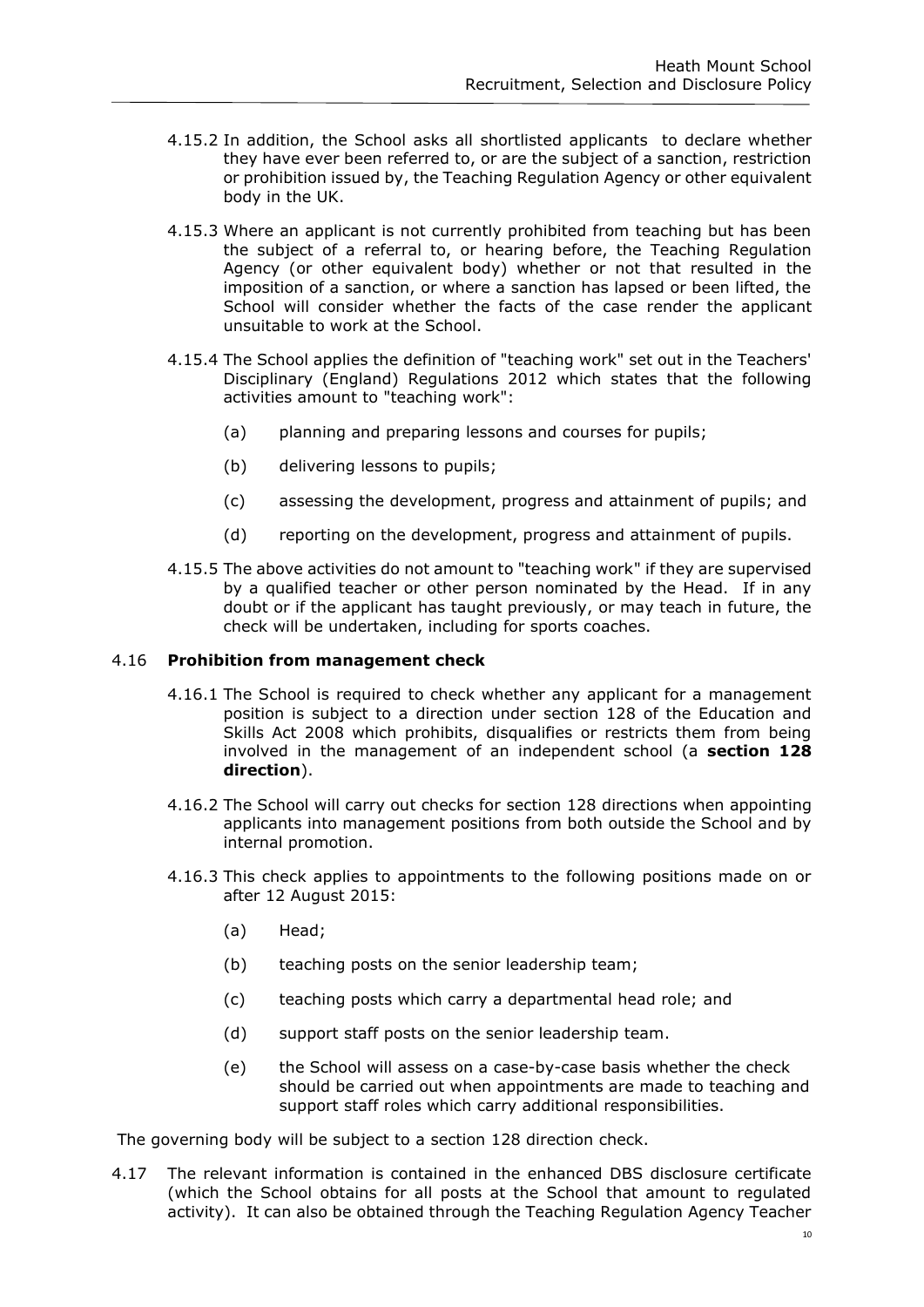- 4.15.2 In addition, the School asks all shortlisted applicants to declare whether they have ever been referred to, or are the subject of a sanction, restriction or prohibition issued by, the Teaching Regulation Agency or other equivalent body in the UK.
- 4.15.3 Where an applicant is not currently prohibited from teaching but has been the subject of a referral to, or hearing before, the Teaching Regulation Agency (or other equivalent body) whether or not that resulted in the imposition of a sanction, or where a sanction has lapsed or been lifted, the School will consider whether the facts of the case render the applicant unsuitable to work at the School.
- 4.15.4 The School applies the definition of "teaching work" set out in the Teachers' Disciplinary (England) Regulations 2012 which states that the following activities amount to "teaching work":
	- (a) planning and preparing lessons and courses for pupils;
	- (b) delivering lessons to pupils;
	- (c) assessing the development, progress and attainment of pupils; and
	- (d) reporting on the development, progress and attainment of pupils.
- 4.15.5 The above activities do not amount to "teaching work" if they are supervised by a qualified teacher or other person nominated by the Head. If in any doubt or if the applicant has taught previously, or may teach in future, the check will be undertaken, including for sports coaches.

#### 4.16 **Prohibition from management check**

- 4.16.1 The School is required to check whether any applicant for a management position is subject to a direction under section 128 of the Education and Skills Act 2008 which prohibits, disqualifies or restricts them from being involved in the management of an independent school (a **section 128 direction**).
- 4.16.2 The School will carry out checks for section 128 directions when appointing applicants into management positions from both outside the School and by internal promotion.
- 4.16.3 This check applies to appointments to the following positions made on or after 12 August 2015:
	- (a) Head;
	- (b) teaching posts on the senior leadership team;
	- (c) teaching posts which carry a departmental head role; and
	- (d) support staff posts on the senior leadership team.
	- (e) the School will assess on a case-by-case basis whether the check should be carried out when appointments are made to teaching and support staff roles which carry additional responsibilities.

The governing body will be subject to a section 128 direction check.

4.17 The relevant information is contained in the enhanced DBS disclosure certificate (which the School obtains for all posts at the School that amount to regulated activity). It can also be obtained through the Teaching Regulation Agency Teacher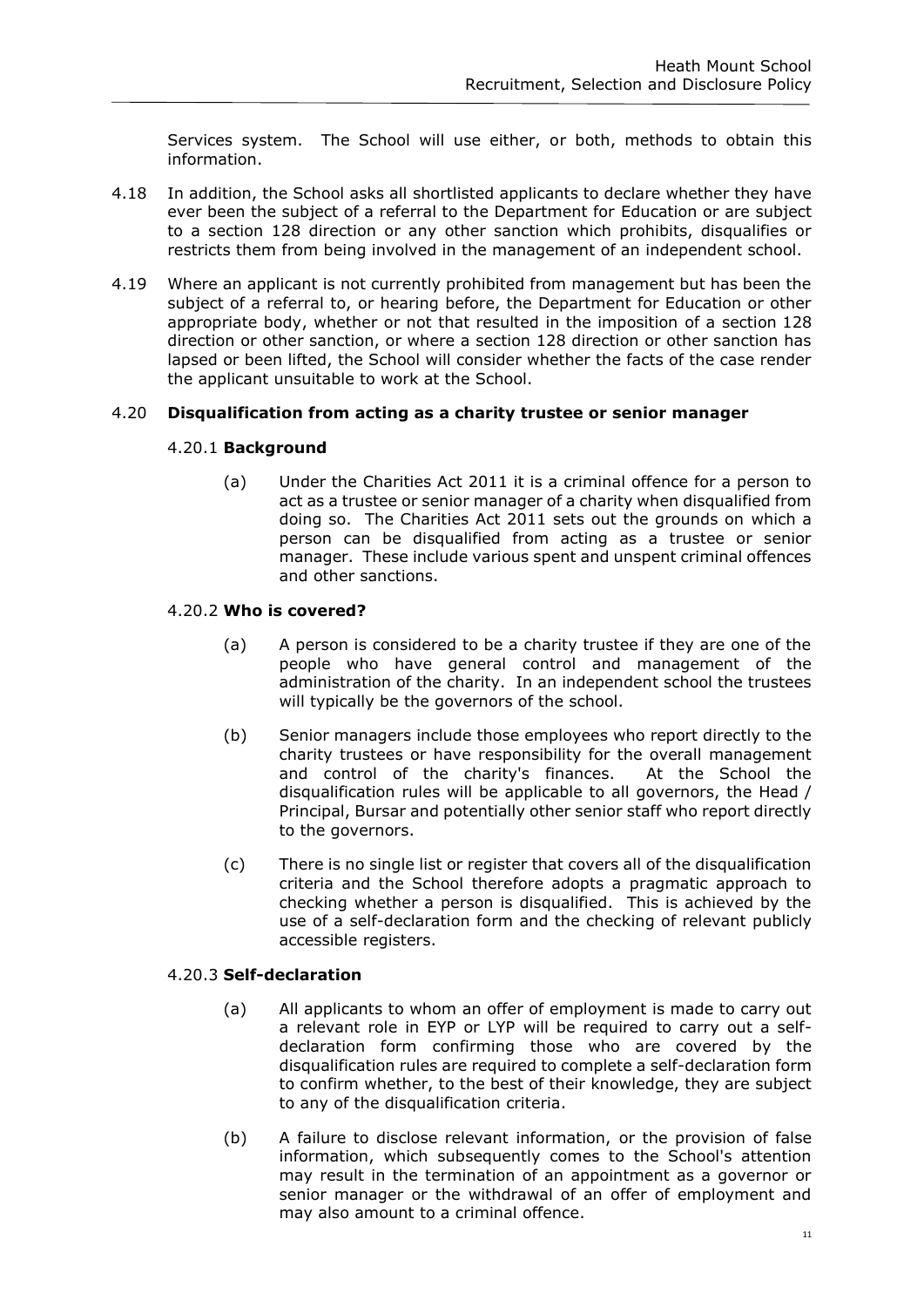Services system. The School will use either, or both, methods to obtain this information.

- 4.18 In addition, the School asks all shortlisted applicants to declare whether they have ever been the subject of a referral to the Department for Education or are subject to a section 128 direction or any other sanction which prohibits, disqualifies or restricts them from being involved in the management of an independent school.
- 4.19 Where an applicant is not currently prohibited from management but has been the subject of a referral to, or hearing before, the Department for Education or other appropriate body, whether or not that resulted in the imposition of a section 128 direction or other sanction, or where a section 128 direction or other sanction has lapsed or been lifted, the School will consider whether the facts of the case render the applicant unsuitable to work at the School.

# 4.20 **Disqualification from acting as a charity trustee or senior manager**

#### 4.20.1 **Background**

(a) Under the Charities Act 2011 it is a criminal offence for a person to act as a trustee or senior manager of a charity when disqualified from doing so. The Charities Act 2011 sets out the grounds on which a person can be disqualified from acting as a trustee or senior manager. These include various spent and unspent criminal offences and other sanctions.

# 4.20.2 **Who is covered?**

- (a) A person is considered to be a charity trustee if they are one of the people who have general control and management of the administration of the charity. In an independent school the trustees will typically be the governors of the school.
- (b) Senior managers include those employees who report directly to the charity trustees or have responsibility for the overall management and control of the charity's finances. At the School the disqualification rules will be applicable to all governors, the Head / Principal, Bursar and potentially other senior staff who report directly to the governors.
- (c) There is no single list or register that covers all of the disqualification criteria and the School therefore adopts a pragmatic approach to checking whether a person is disqualified. This is achieved by the use of a self-declaration form and the checking of relevant publicly accessible registers.

#### 4.20.3 **Self-declaration**

- (a) All applicants to whom an offer of employment is made to carry out a relevant role in EYP or LYP will be required to carry out a selfdeclaration form confirming those who are covered by the disqualification rules are required to complete a self-declaration form to confirm whether, to the best of their knowledge, they are subject to any of the disqualification criteria.
- (b) A failure to disclose relevant information, or the provision of false information, which subsequently comes to the School's attention may result in the termination of an appointment as a governor or senior manager or the withdrawal of an offer of employment and may also amount to a criminal offence.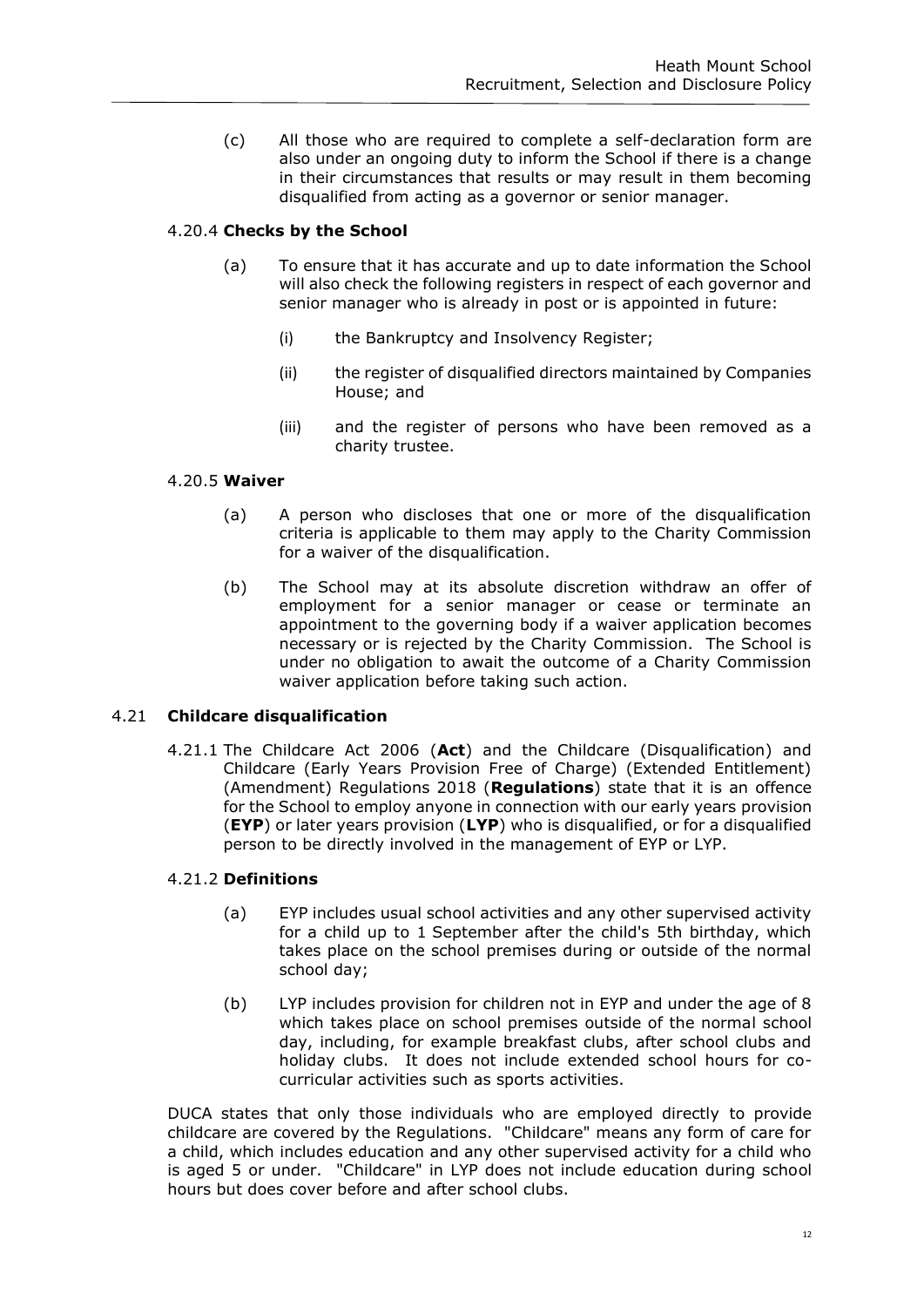(c) All those who are required to complete a self-declaration form are also under an ongoing duty to inform the School if there is a change in their circumstances that results or may result in them becoming disqualified from acting as a governor or senior manager.

# 4.20.4 **Checks by the School**

- (a) To ensure that it has accurate and up to date information the School will also check the following registers in respect of each governor and senior manager who is already in post or is appointed in future:
	- (i) the Bankruptcy and Insolvency Register;
	- (ii) the register of disqualified directors maintained by Companies House; and
	- (iii) and the register of persons who have been removed as a charity trustee.

# 4.20.5 **Waiver**

- (a) A person who discloses that one or more of the disqualification criteria is applicable to them may apply to the Charity Commission for a waiver of the disqualification.
- (b) The School may at its absolute discretion withdraw an offer of employment for a senior manager or cease or terminate an appointment to the governing body if a waiver application becomes necessary or is rejected by the Charity Commission. The School is under no obligation to await the outcome of a Charity Commission waiver application before taking such action.

# 4.21 **Childcare disqualification**

4.21.1 The Childcare Act 2006 (**Act**) and the Childcare (Disqualification) and Childcare (Early Years Provision Free of Charge) (Extended Entitlement) (Amendment) Regulations 2018 (**Regulations**) state that it is an offence for the School to employ anyone in connection with our early years provision (**EYP**) or later years provision (**LYP**) who is disqualified, or for a disqualified person to be directly involved in the management of EYP or LYP.

#### 4.21.2 **Definitions**

- (a) EYP includes usual school activities and any other supervised activity for a child up to 1 September after the child's 5th birthday, which takes place on the school premises during or outside of the normal school day;
- (b) LYP includes provision for children not in EYP and under the age of 8 which takes place on school premises outside of the normal school day, including, for example breakfast clubs, after school clubs and holiday clubs. It does not include extended school hours for cocurricular activities such as sports activities.

DUCA states that only those individuals who are employed directly to provide childcare are covered by the Regulations. "Childcare" means any form of care for a child, which includes education and any other supervised activity for a child who is aged 5 or under. "Childcare" in LYP does not include education during school hours but does cover before and after school clubs.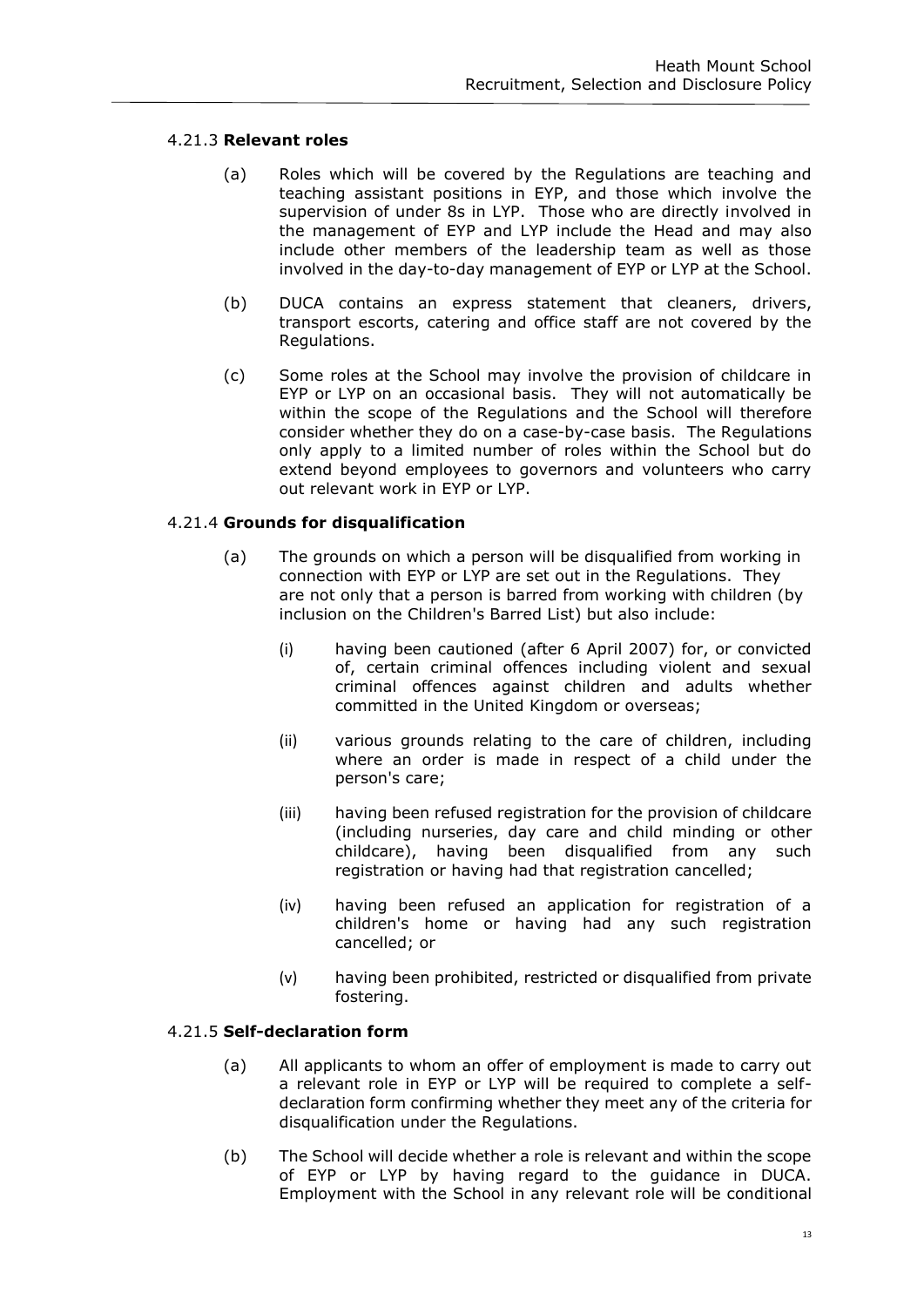# 4.21.3 **Relevant roles**

- (a) Roles which will be covered by the Regulations are teaching and teaching assistant positions in EYP, and those which involve the supervision of under 8s in LYP. Those who are directly involved in the management of EYP and LYP include the Head and may also include other members of the leadership team as well as those involved in the day-to-day management of EYP or LYP at the School.
- (b) DUCA contains an express statement that cleaners, drivers, transport escorts, catering and office staff are not covered by the Regulations.
- (c) Some roles at the School may involve the provision of childcare in EYP or LYP on an occasional basis. They will not automatically be within the scope of the Regulations and the School will therefore consider whether they do on a case-by-case basis. The Regulations only apply to a limited number of roles within the School but do extend beyond employees to governors and volunteers who carry out relevant work in EYP or LYP.

# 4.21.4 **Grounds for disqualification**

- (a) The grounds on which a person will be disqualified from working in connection with EYP or LYP are set out in the Regulations. They are not only that a person is barred from working with children (by inclusion on the Children's Barred List) but also include:
	- (i) having been cautioned (after 6 April 2007) for, or convicted of, certain criminal offences including violent and sexual criminal offences against children and adults whether committed in the United Kingdom or overseas;
	- (ii) various grounds relating to the care of children, including where an order is made in respect of a child under the person's care;
	- (iii) having been refused registration for the provision of childcare (including nurseries, day care and child minding or other childcare), having been disqualified from any such registration or having had that registration cancelled;
	- (iv) having been refused an application for registration of a children's home or having had any such registration cancelled; or
	- (v) having been prohibited, restricted or disqualified from private fostering.

# 4.21.5 **Self-declaration form**

- (a) All applicants to whom an offer of employment is made to carry out a relevant role in EYP or LYP will be required to complete a selfdeclaration form confirming whether they meet any of the criteria for disqualification under the Regulations.
- (b) The School will decide whether a role is relevant and within the scope of EYP or LYP by having regard to the guidance in DUCA. Employment with the School in any relevant role will be conditional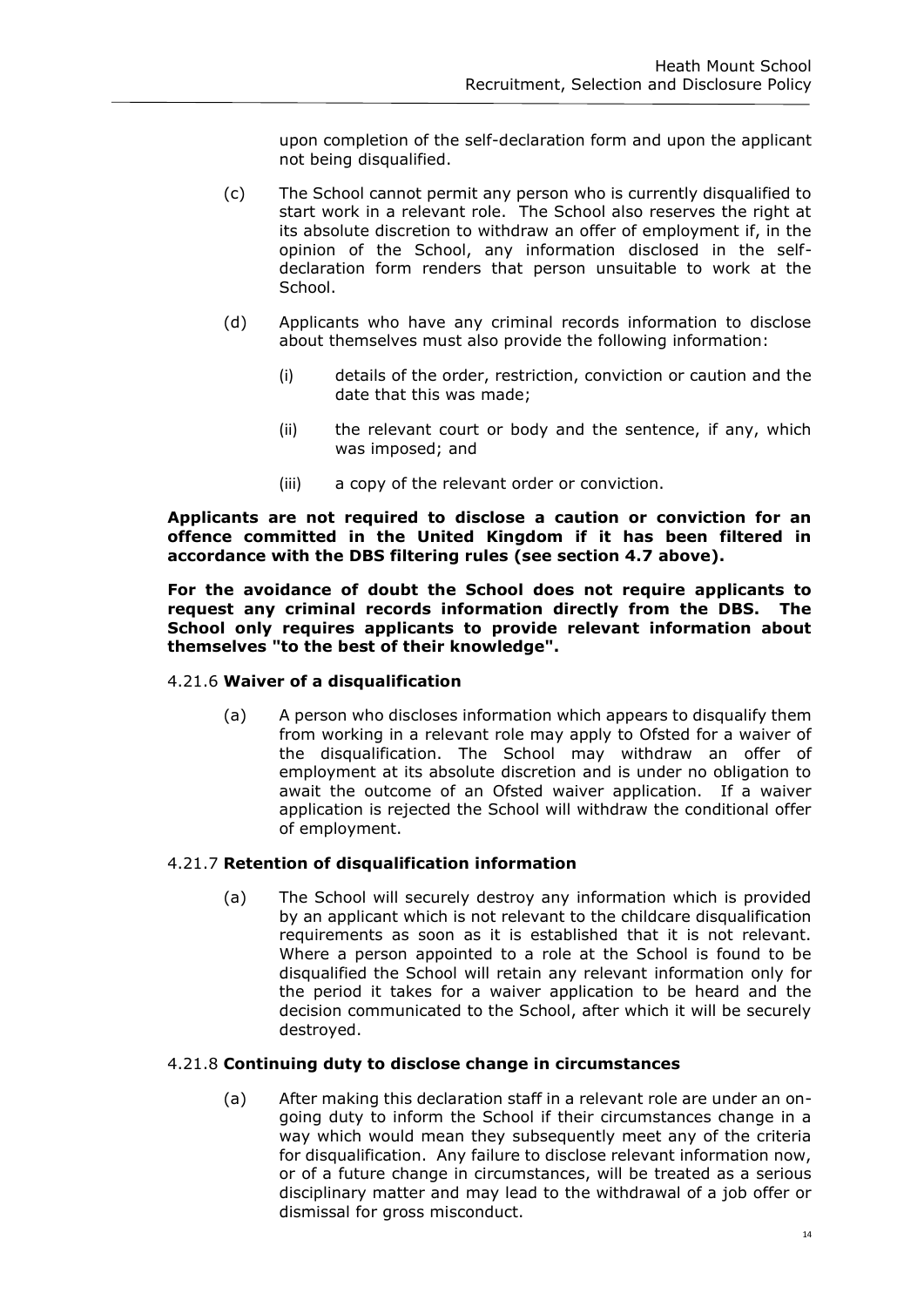upon completion of the self-declaration form and upon the applicant not being disqualified.

- (c) The School cannot permit any person who is currently disqualified to start work in a relevant role. The School also reserves the right at its absolute discretion to withdraw an offer of employment if, in the opinion of the School, any information disclosed in the selfdeclaration form renders that person unsuitable to work at the School.
- (d) Applicants who have any criminal records information to disclose about themselves must also provide the following information:
	- (i) details of the order, restriction, conviction or caution and the date that this was made;
	- (ii) the relevant court or body and the sentence, if any, which was imposed; and
	- (iii) a copy of the relevant order or conviction.

**Applicants are not required to disclose a caution or conviction for an offence committed in the United Kingdom if it has been filtered in accordance with the DBS filtering rules (see section 4.7 above).**

**For the avoidance of doubt the School does not require applicants to request any criminal records information directly from the DBS. The School only requires applicants to provide relevant information about themselves "to the best of their knowledge".**

# 4.21.6 **Waiver of a disqualification**

(a) A person who discloses information which appears to disqualify them from working in a relevant role may apply to Ofsted for a waiver of the disqualification. The School may withdraw an offer of employment at its absolute discretion and is under no obligation to await the outcome of an Ofsted waiver application. If a waiver application is rejected the School will withdraw the conditional offer of employment.

#### 4.21.7 **Retention of disqualification information**

(a) The School will securely destroy any information which is provided by an applicant which is not relevant to the childcare disqualification requirements as soon as it is established that it is not relevant. Where a person appointed to a role at the School is found to be disqualified the School will retain any relevant information only for the period it takes for a waiver application to be heard and the decision communicated to the School, after which it will be securely destroyed.

#### 4.21.8 **Continuing duty to disclose change in circumstances**

(a) After making this declaration staff in a relevant role are under an ongoing duty to inform the School if their circumstances change in a way which would mean they subsequently meet any of the criteria for disqualification. Any failure to disclose relevant information now, or of a future change in circumstances, will be treated as a serious disciplinary matter and may lead to the withdrawal of a job offer or dismissal for gross misconduct.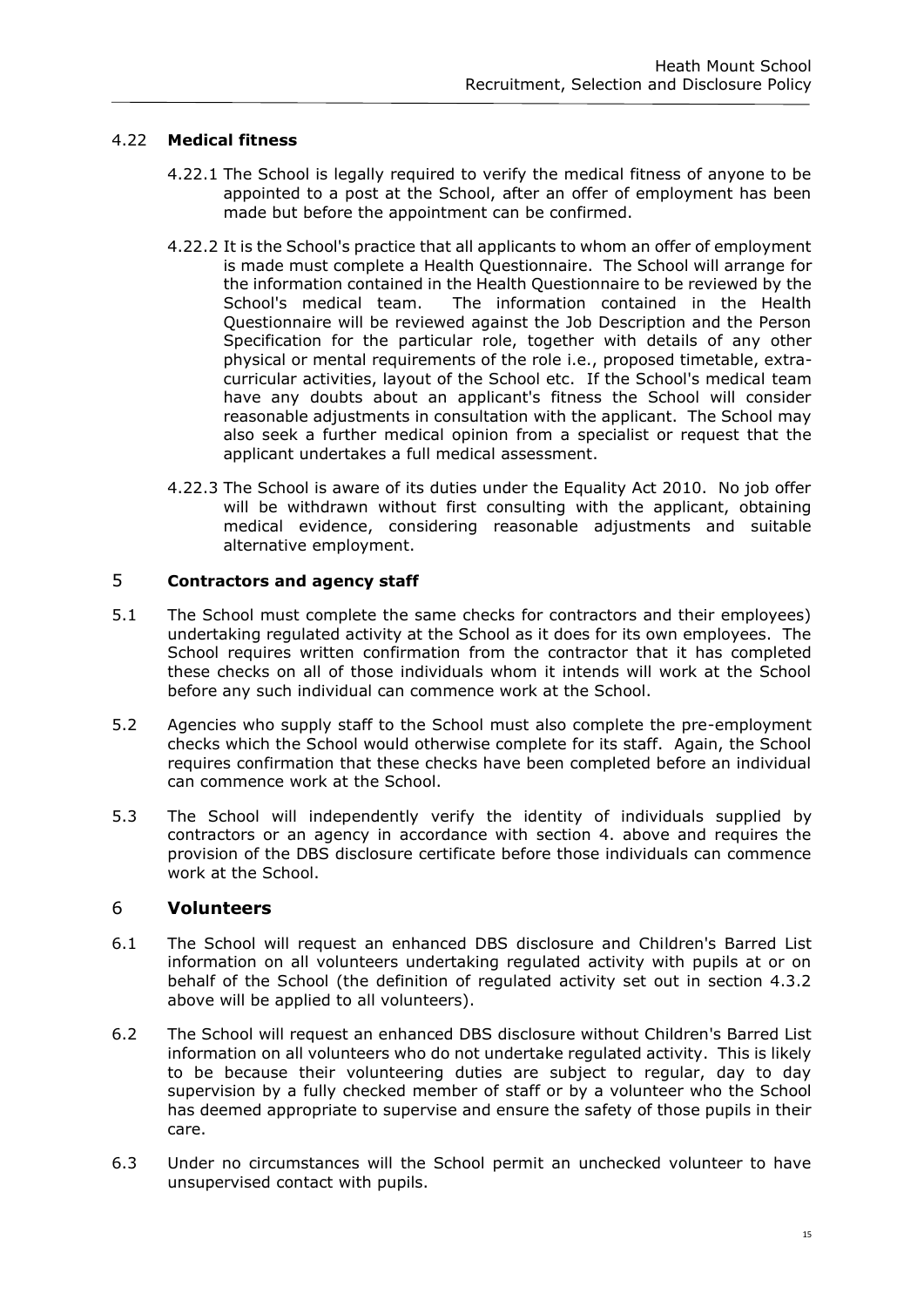# 4.22 **Medical fitness**

- 4.22.1 The School is legally required to verify the medical fitness of anyone to be appointed to a post at the School, after an offer of employment has been made but before the appointment can be confirmed.
- 4.22.2 It is the School's practice that all applicants to whom an offer of employment is made must complete a Health Questionnaire. The School will arrange for the information contained in the Health Questionnaire to be reviewed by the School's medical team. The information contained in the Health Questionnaire will be reviewed against the Job Description and the Person Specification for the particular role, together with details of any other physical or mental requirements of the role i.e., proposed timetable, extracurricular activities, layout of the School etc. If the School's medical team have any doubts about an applicant's fitness the School will consider reasonable adjustments in consultation with the applicant. The School may also seek a further medical opinion from a specialist or request that the applicant undertakes a full medical assessment.
- 4.22.3 The School is aware of its duties under the Equality Act 2010. No job offer will be withdrawn without first consulting with the applicant, obtaining medical evidence, considering reasonable adjustments and suitable alternative employment.

# 5 **Contractors and agency staff**

- 5.1 The School must complete the same checks for contractors and their employees) undertaking regulated activity at the School as it does for its own employees. The School requires written confirmation from the contractor that it has completed these checks on all of those individuals whom it intends will work at the School before any such individual can commence work at the School.
- 5.2 Agencies who supply staff to the School must also complete the pre-employment checks which the School would otherwise complete for its staff. Again, the School requires confirmation that these checks have been completed before an individual can commence work at the School.
- 5.3 The School will independently verify the identity of individuals supplied by contractors or an agency in accordance with section 4. above and requires the provision of the DBS disclosure certificate before those individuals can commence work at the School.

# 6 **Volunteers**

- 6.1 The School will request an enhanced DBS disclosure and Children's Barred List information on all volunteers undertaking regulated activity with pupils at or on behalf of the School (the definition of regulated activity set out in section 4.3.2 above will be applied to all volunteers).
- 6.2 The School will request an enhanced DBS disclosure without Children's Barred List information on all volunteers who do not undertake regulated activity. This is likely to be because their volunteering duties are subject to regular, day to day supervision by a fully checked member of staff or by a volunteer who the School has deemed appropriate to supervise and ensure the safety of those pupils in their care.
- 6.3 Under no circumstances will the School permit an unchecked volunteer to have unsupervised contact with pupils.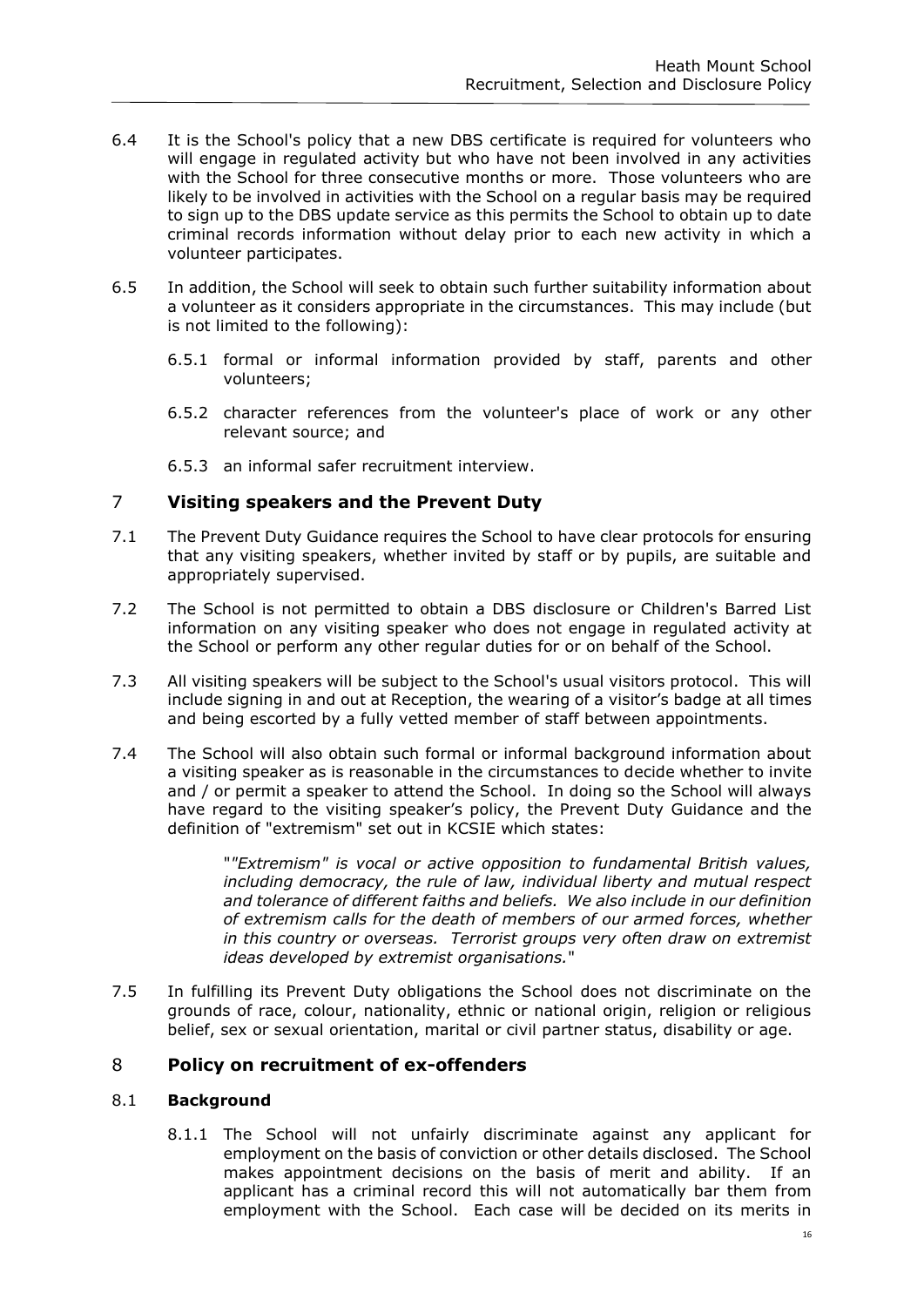- 6.4 It is the School's policy that a new DBS certificate is required for volunteers who will engage in regulated activity but who have not been involved in any activities with the School for three consecutive months or more. Those volunteers who are likely to be involved in activities with the School on a regular basis may be required to sign up to the DBS update service as this permits the School to obtain up to date criminal records information without delay prior to each new activity in which a volunteer participates.
- 6.5 In addition, the School will seek to obtain such further suitability information about a volunteer as it considers appropriate in the circumstances. This may include (but is not limited to the following):
	- 6.5.1 formal or informal information provided by staff, parents and other volunteers;
	- 6.5.2 character references from the volunteer's place of work or any other relevant source; and
	- 6.5.3 an informal safer recruitment interview.

# 7 **Visiting speakers and the Prevent Duty**

- 7.1 The Prevent Duty Guidance requires the School to have clear protocols for ensuring that any visiting speakers, whether invited by staff or by pupils, are suitable and appropriately supervised.
- 7.2 The School is not permitted to obtain a DBS disclosure or Children's Barred List information on any visiting speaker who does not engage in regulated activity at the School or perform any other regular duties for or on behalf of the School.
- 7.3 All visiting speakers will be subject to the School's usual visitors protocol. This will include signing in and out at Reception, the wearing of a visitor's badge at all times and being escorted by a fully vetted member of staff between appointments.
- 7.4 The School will also obtain such formal or informal background information about a visiting speaker as is reasonable in the circumstances to decide whether to invite and / or permit a speaker to attend the School. In doing so the School will always have regard to the visiting speaker's policy, the Prevent Duty Guidance and the definition of "extremism" set out in KCSIE which states:

"*"Extremism" is vocal or active opposition to fundamental British values, including democracy, the rule of law, individual liberty and mutual respect and tolerance of different faiths and beliefs. We also include in our definition of extremism calls for the death of members of our armed forces, whether in this country or overseas. Terrorist groups very often draw on extremist ideas developed by extremist organisations.*"

7.5 In fulfilling its Prevent Duty obligations the School does not discriminate on the grounds of race, colour, nationality, ethnic or national origin, religion or religious belief, sex or sexual orientation, marital or civil partner status, disability or age.

# 8 **Policy on recruitment of ex-offenders**

#### 8.1 **Background**

8.1.1 The School will not unfairly discriminate against any applicant for employment on the basis of conviction or other details disclosed. The School makes appointment decisions on the basis of merit and ability. If an applicant has a criminal record this will not automatically bar them from employment with the School. Each case will be decided on its merits in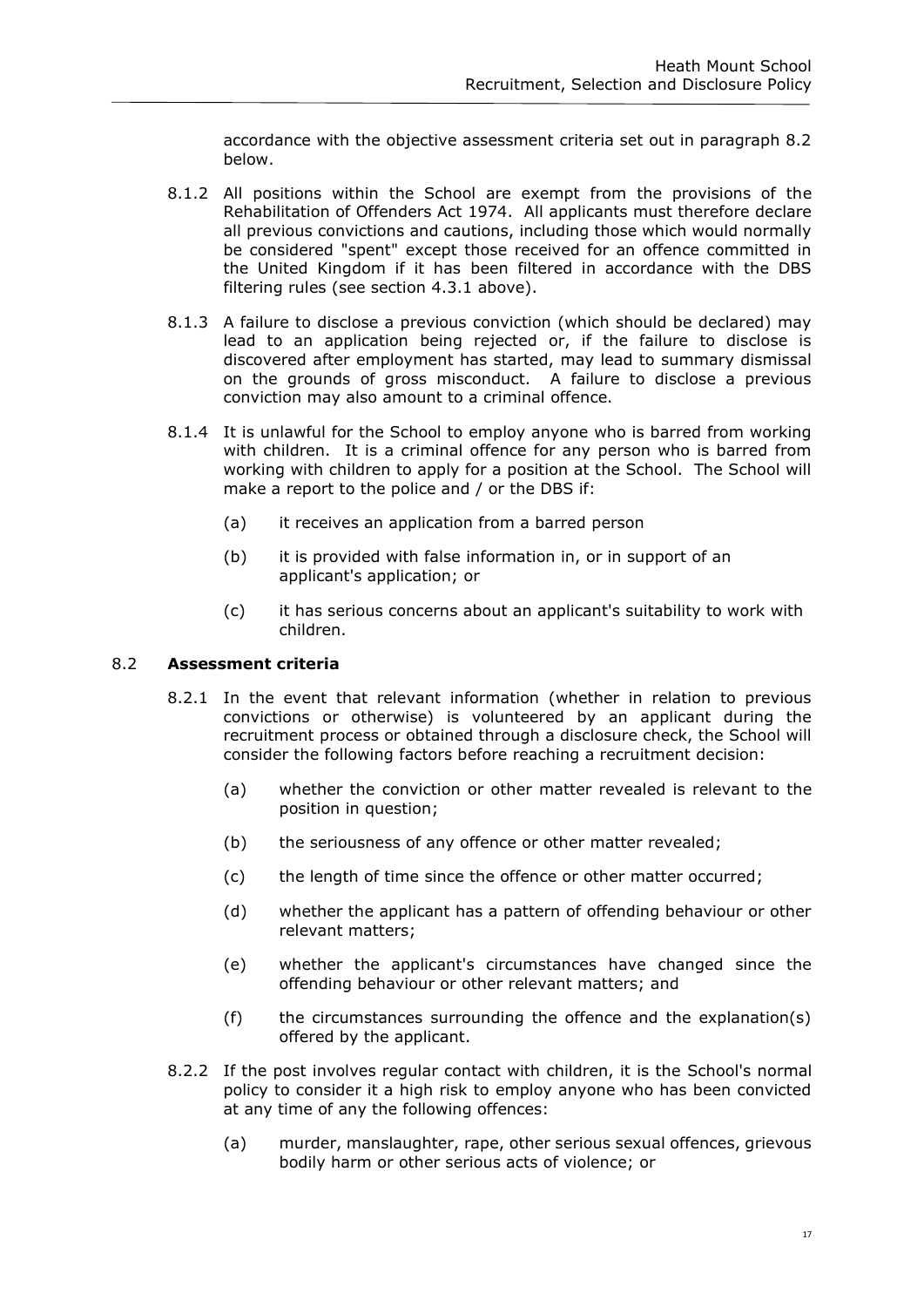accordance with the objective assessment criteria set out in paragraph 8.2 below.

- 8.1.2 All positions within the School are exempt from the provisions of the Rehabilitation of Offenders Act 1974. All applicants must therefore declare all previous convictions and cautions, including those which would normally be considered "spent" except those received for an offence committed in the United Kingdom if it has been filtered in accordance with the DBS filtering rules (see section 4.3.1 above).
- 8.1.3 A failure to disclose a previous conviction (which should be declared) may lead to an application being rejected or, if the failure to disclose is discovered after employment has started, may lead to summary dismissal on the grounds of gross misconduct. A failure to disclose a previous conviction may also amount to a criminal offence.
- 8.1.4 It is unlawful for the School to employ anyone who is barred from working with children. It is a criminal offence for any person who is barred from working with children to apply for a position at the School. The School will make a report to the police and / or the DBS if:
	- (a) it receives an application from a barred person
	- (b) it is provided with false information in, or in support of an applicant's application; or
	- (c) it has serious concerns about an applicant's suitability to work with children.

# 8.2 **Assessment criteria**

- 8.2.1 In the event that relevant information (whether in relation to previous convictions or otherwise) is volunteered by an applicant during the recruitment process or obtained through a disclosure check, the School will consider the following factors before reaching a recruitment decision:
	- (a) whether the conviction or other matter revealed is relevant to the position in question;
	- (b) the seriousness of any offence or other matter revealed;
	- (c) the length of time since the offence or other matter occurred;
	- (d) whether the applicant has a pattern of offending behaviour or other relevant matters;
	- (e) whether the applicant's circumstances have changed since the offending behaviour or other relevant matters; and
	- (f) the circumstances surrounding the offence and the explanation(s) offered by the applicant.
- 8.2.2 If the post involves regular contact with children, it is the School's normal policy to consider it a high risk to employ anyone who has been convicted at any time of any the following offences:
	- (a) murder, manslaughter, rape, other serious sexual offences, grievous bodily harm or other serious acts of violence; or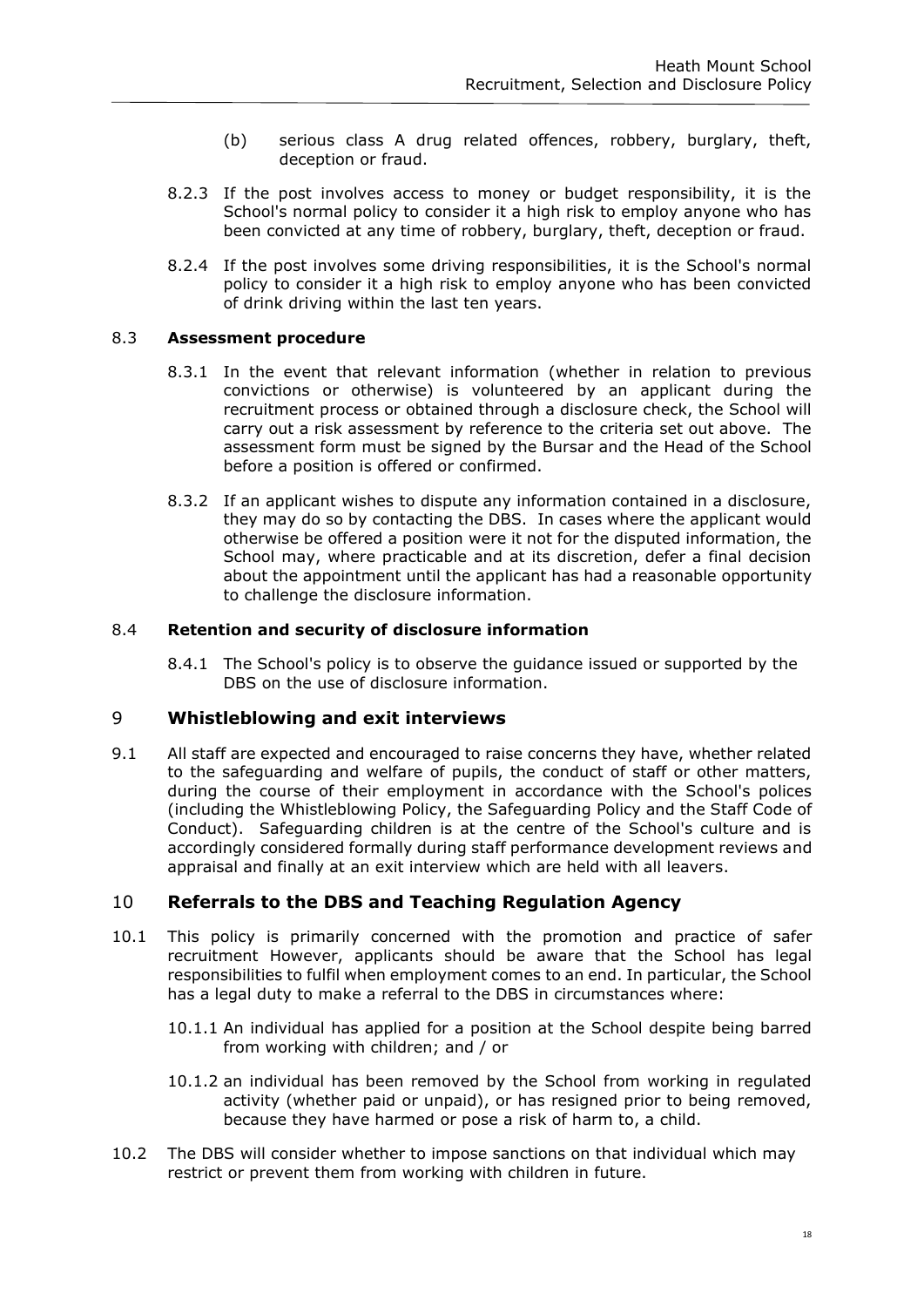- (b) serious class A drug related offences, robbery, burglary, theft, deception or fraud.
- 8.2.3 If the post involves access to money or budget responsibility, it is the School's normal policy to consider it a high risk to employ anyone who has been convicted at any time of robbery, burglary, theft, deception or fraud.
- 8.2.4 If the post involves some driving responsibilities, it is the School's normal policy to consider it a high risk to employ anyone who has been convicted of drink driving within the last ten years.

# 8.3 **Assessment procedure**

- 8.3.1 In the event that relevant information (whether in relation to previous convictions or otherwise) is volunteered by an applicant during the recruitment process or obtained through a disclosure check, the School will carry out a risk assessment by reference to the criteria set out above. The assessment form must be signed by the Bursar and the Head of the School before a position is offered or confirmed.
- 8.3.2 If an applicant wishes to dispute any information contained in a disclosure, they may do so by contacting the DBS. In cases where the applicant would otherwise be offered a position were it not for the disputed information, the School may, where practicable and at its discretion, defer a final decision about the appointment until the applicant has had a reasonable opportunity to challenge the disclosure information.

#### 8.4 **Retention and security of disclosure information**

8.4.1 The School's policy is to observe the guidance issued or supported by the DBS on the use of disclosure information.

# 9 **Whistleblowing and exit interviews**

9.1 All staff are expected and encouraged to raise concerns they have, whether related to the safeguarding and welfare of pupils, the conduct of staff or other matters, during the course of their employment in accordance with the School's polices (including the Whistleblowing Policy, the Safeguarding Policy and the Staff Code of Conduct). Safeguarding children is at the centre of the School's culture and is accordingly considered formally during staff performance development reviews and appraisal and finally at an exit interview which are held with all leavers.

# 10 **Referrals to the DBS and Teaching Regulation Agency**

- 10.1 This policy is primarily concerned with the promotion and practice of safer recruitment However, applicants should be aware that the School has legal responsibilities to fulfil when employment comes to an end. In particular, the School has a legal duty to make a referral to the DBS in circumstances where:
	- 10.1.1 An individual has applied for a position at the School despite being barred from working with children; and / or
	- 10.1.2 an individual has been removed by the School from working in regulated activity (whether paid or unpaid), or has resigned prior to being removed, because they have harmed or pose a risk of harm to, a child.
- 10.2 The DBS will consider whether to impose sanctions on that individual which may restrict or prevent them from working with children in future.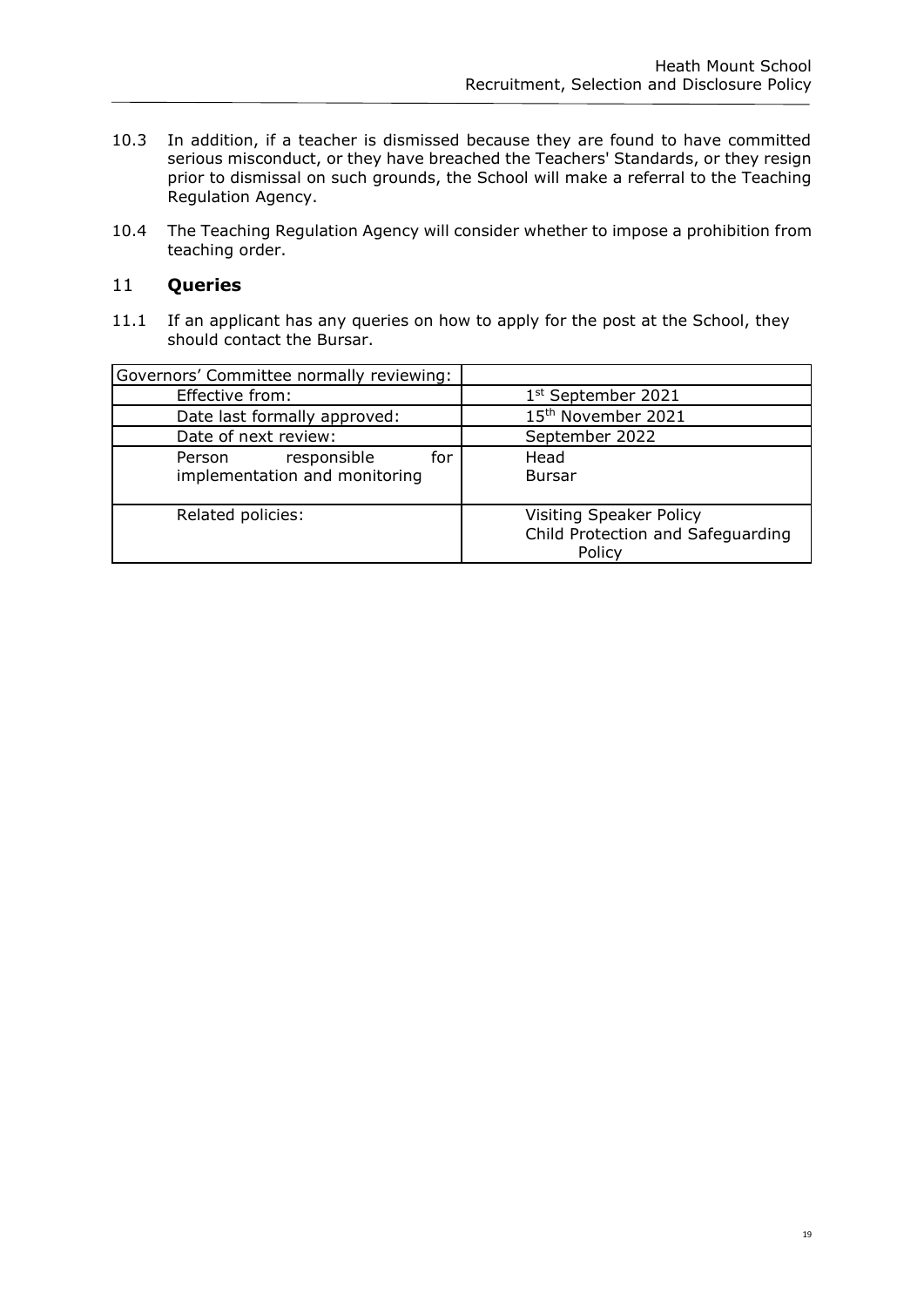- 10.3 In addition, if a teacher is dismissed because they are found to have committed serious misconduct, or they have breached the Teachers' Standards, or they resign prior to dismissal on such grounds, the School will make a referral to the Teaching Regulation Agency.
- 10.4 The Teaching Regulation Agency will consider whether to impose a prohibition from teaching order.

# 11 **Queries**

11.1 If an applicant has any queries on how to apply for the post at the School, they should contact the Bursar.

| Governors' Committee normally reviewing:                      |                                                                        |
|---------------------------------------------------------------|------------------------------------------------------------------------|
| Effective from:                                               | 1 <sup>st</sup> September 2021                                         |
| Date last formally approved:                                  | 15th November 2021                                                     |
| Date of next review:                                          | September 2022                                                         |
| responsible<br>for<br>Person<br>implementation and monitoring | Head<br><b>Bursar</b>                                                  |
| Related policies:                                             | Visiting Speaker Policy<br>Child Protection and Safeguarding<br>Policy |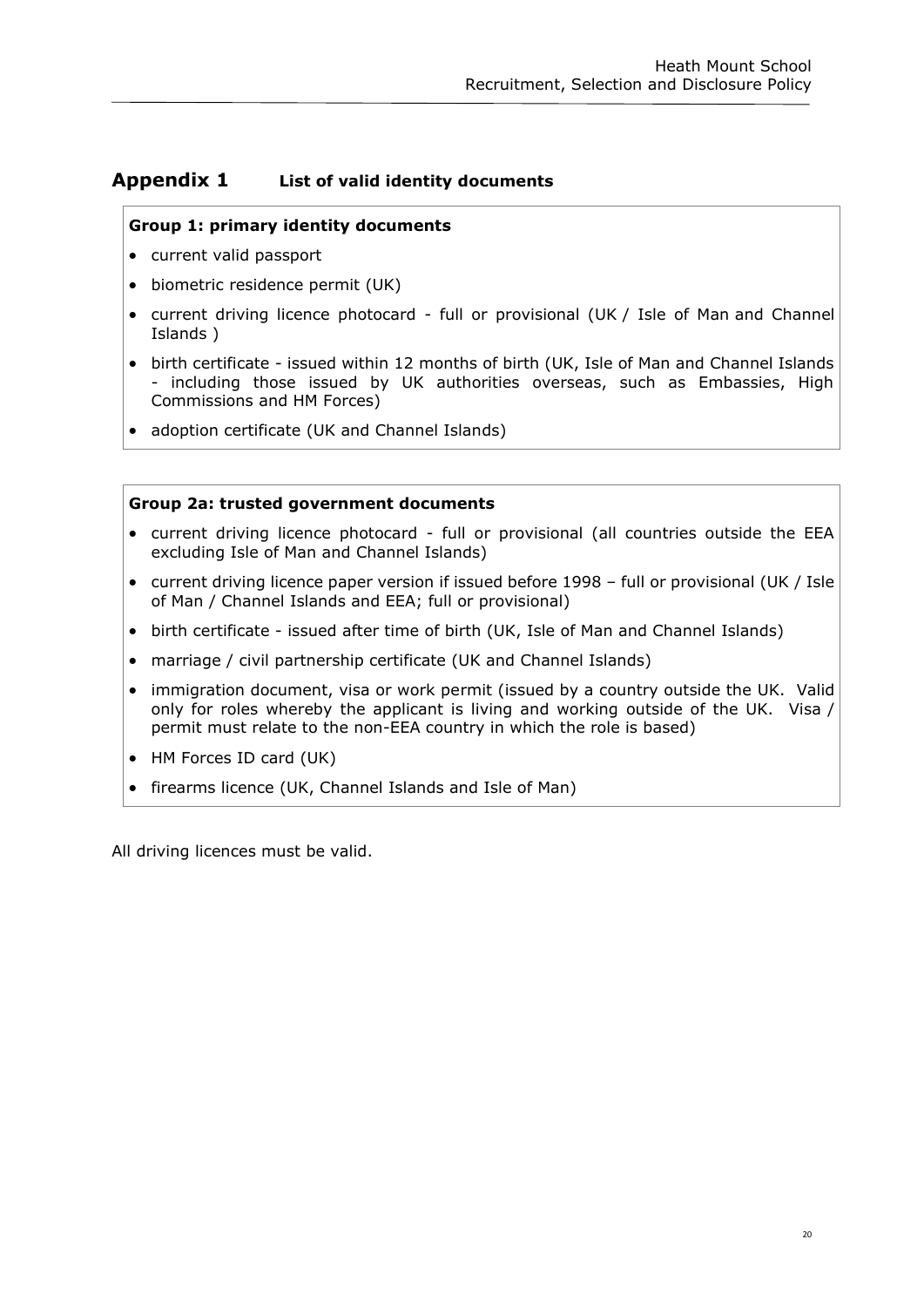# <span id="page-19-0"></span>**Appendix 1 List of valid identity documents**

# **Group 1: primary identity documents**

- current valid passport
- biometric residence permit (UK)
- current driving licence photocard full or provisional (UK / Isle of Man and Channel Islands )
- birth certificate issued within 12 months of birth (UK, Isle of Man and Channel Islands - including those issued by UK authorities overseas, such as Embassies, High Commissions and HM Forces)
- adoption certificate (UK and Channel Islands)

#### **Group 2a: trusted government documents**

- current driving licence photocard full or provisional (all countries outside the EEA excluding Isle of Man and Channel Islands)
- current driving licence paper version if issued before 1998 full or provisional (UK / Isle of Man / Channel Islands and EEA; full or provisional)
- birth certificate issued after time of birth (UK, Isle of Man and Channel Islands)
- marriage / civil partnership certificate (UK and Channel Islands)
- immigration document, visa or work permit (issued by a country outside the UK. Valid only for roles whereby the applicant is living and working outside of the UK. Visa / permit must relate to the non-EEA country in which the role is based)
- HM Forces ID card (UK)
- firearms licence (UK, Channel Islands and Isle of Man)

All driving licences must be valid.